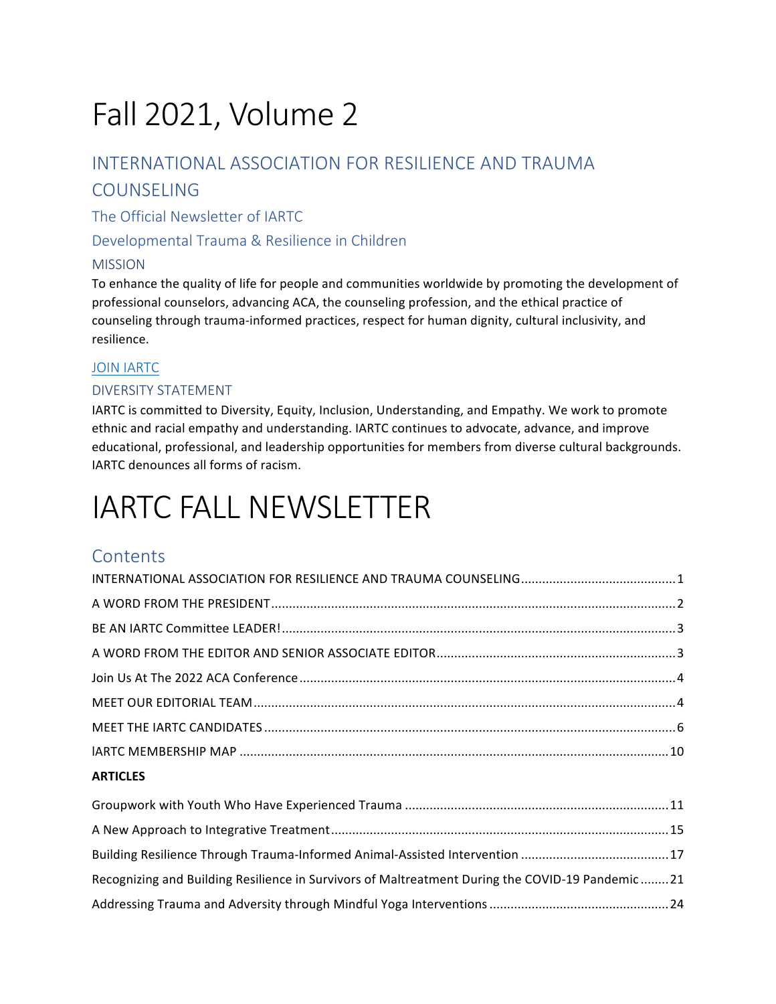# Fall 2021, Volume 2

## INTERNATIONAL ASSOCIATION FOR RESILIENCE AND TRAUMA COUNSELING

The Official Newsletter of IARTC

Developmental Trauma & Resilience in Children

#### MISSION

To enhance the quality of life for people and communities worldwide by promoting the development of professional counselors, advancing ACA, the counseling profession, and the ethical practice of counseling through trauma-informed practices, respect for human dignity, cultural inclusivity, and resilience.

#### **JOIN IARTC**

#### DIVERSITY STATEMENT

IARTC is committed to Diversity, Equity, Inclusion, Understanding, and Empathy. We work to promote ethnic and racial empathy and understanding. IARTC continues to advocate, advance, and improve educational, professional, and leadership opportunities for members from diverse cultural backgrounds. IARTC denounces all forms of racism.

# **IARTC FALL NEWSLETTER**

## **Contents**

| <b>ARTICLES</b> |  |
|-----------------|--|

| Recognizing and Building Resilience in Survivors of Maltreatment During the COVID-19 Pandemic 21 |  |
|--------------------------------------------------------------------------------------------------|--|
|                                                                                                  |  |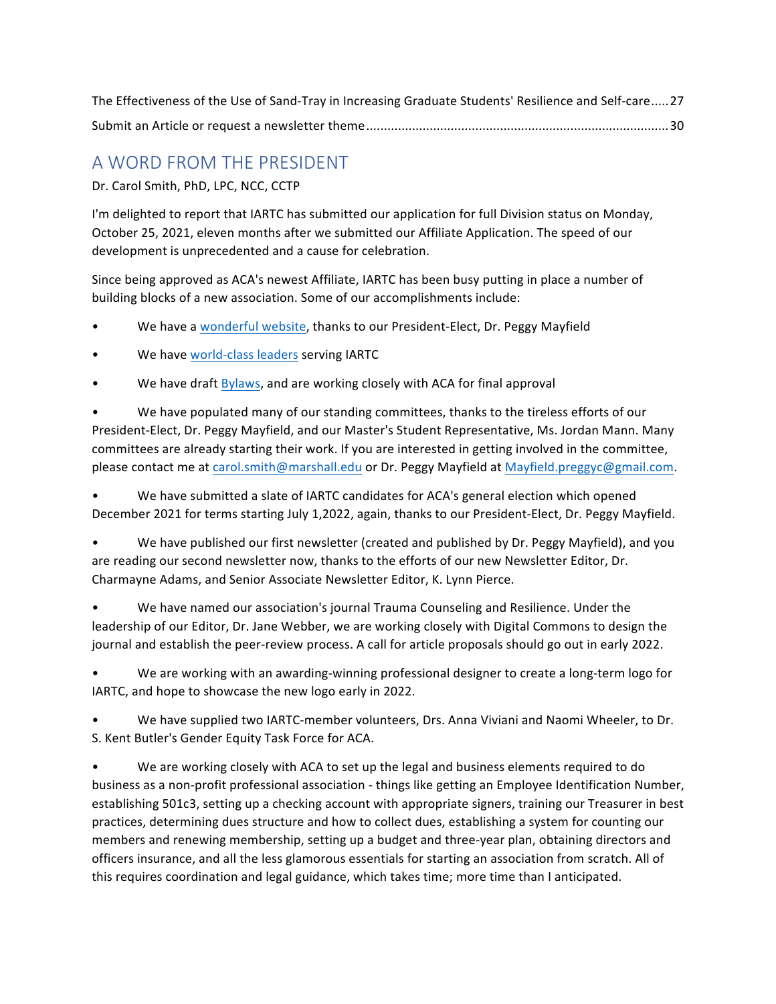| The Effectiveness of the Use of Sand-Tray in Increasing Graduate Students' Resilience and Self-care27 |  |
|-------------------------------------------------------------------------------------------------------|--|
|                                                                                                       |  |

## A WORD FROM THE PRESIDENT

Dr. Carol Smith, PhD, LPC, NCC, CCTP

I'm delighted to report that IARTC has submitted our application for full Division status on Monday, October 25, 2021, eleven months after we submitted our Affiliate Application. The speed of our development is unprecedented and a cause for celebration.

Since being approved as ACA's newest Affiliate, IARTC has been busy putting in place a number of building blocks of a new association. Some of our accomplishments include:

- We have a wonderful website, thanks to our President-Elect, Dr. Peggy Mayfield
- We have world-class leaders serving IARTC
- We have draft Bylaws, and are working closely with ACA for final approval

We have populated many of our standing committees, thanks to the tireless efforts of our President-Elect, Dr. Peggy Mayfield, and our Master's Student Representative, Ms. Jordan Mann. Many committees are already starting their work. If you are interested in getting involved in the committee, please contact me at carol.smith@marshall.edu or Dr. Peggy Mayfield at Mayfield.preggyc@gmail.com.

We have submitted a slate of IARTC candidates for ACA's general election which opened December 2021 for terms starting July 1,2022, again, thanks to our President-Elect, Dr. Peggy Mayfield.

We have published our first newsletter (created and published by Dr. Peggy Mayfield), and you are reading our second newsletter now, thanks to the efforts of our new Newsletter Editor, Dr. Charmayne Adams, and Senior Associate Newsletter Editor, K. Lynn Pierce.

We have named our association's journal Trauma Counseling and Resilience. Under the leadership of our Editor, Dr. Jane Webber, we are working closely with Digital Commons to design the journal and establish the peer-review process. A call for article proposals should go out in early 2022.

We are working with an awarding-winning professional designer to create a long-term logo for IARTC, and hope to showcase the new logo early in 2022.

We have supplied two IARTC-member volunteers, Drs. Anna Viviani and Naomi Wheeler, to Dr. S. Kent Butler's Gender Equity Task Force for ACA.

We are working closely with ACA to set up the legal and business elements required to do business as a non-profit professional association - things like getting an Employee Identification Number, establishing 501c3, setting up a checking account with appropriate signers, training our Treasurer in best practices, determining dues structure and how to collect dues, establishing a system for counting our members and renewing membership, setting up a budget and three-year plan, obtaining directors and officers insurance, and all the less glamorous essentials for starting an association from scratch. All of this requires coordination and legal guidance, which takes time; more time than I anticipated.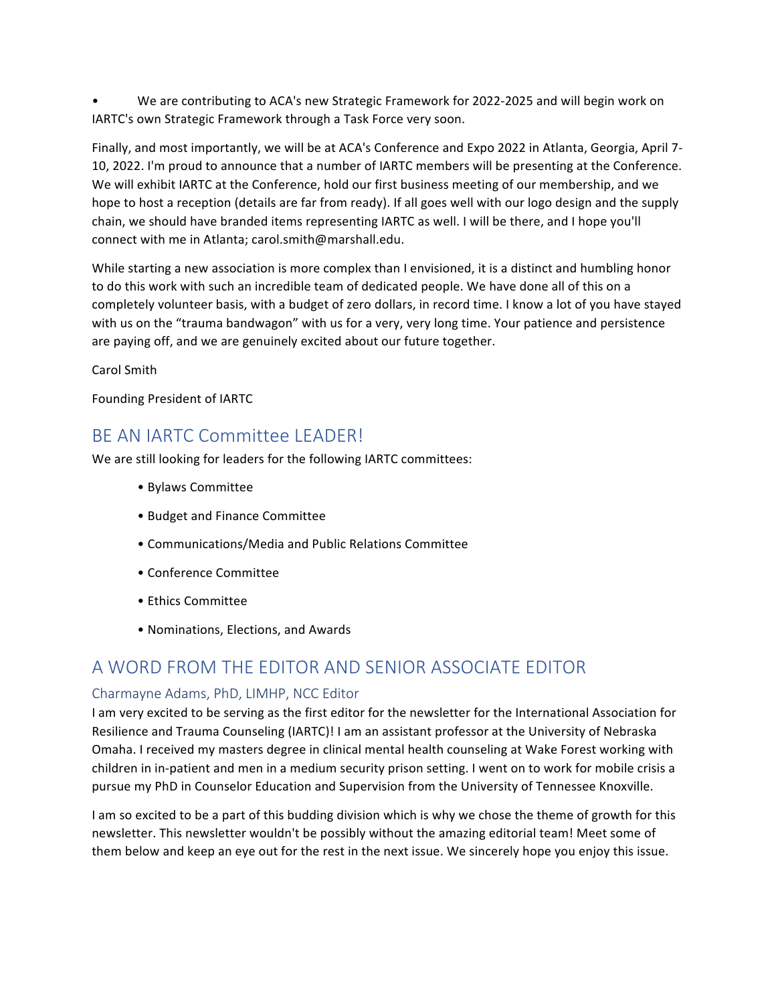We are contributing to ACA's new Strategic Framework for 2022-2025 and will begin work on IARTC's own Strategic Framework through a Task Force very soon.

Finally, and most importantly, we will be at ACA's Conference and Expo 2022 in Atlanta, Georgia, April 7-10, 2022. I'm proud to announce that a number of IARTC members will be presenting at the Conference. We will exhibit IARTC at the Conference, hold our first business meeting of our membership, and we hope to host a reception (details are far from ready). If all goes well with our logo design and the supply chain, we should have branded items representing IARTC as well. I will be there, and I hope you'll connect with me in Atlanta; carol.smith@marshall.edu.

While starting a new association is more complex than I envisioned, it is a distinct and humbling honor to do this work with such an incredible team of dedicated people. We have done all of this on a completely volunteer basis, with a budget of zero dollars, in record time. I know a lot of you have stayed with us on the "trauma bandwagon" with us for a very, very long time. Your patience and persistence are paying off, and we are genuinely excited about our future together.

Carol Smith

Founding President of IARTC

## BE AN IARTC Committee I FADER!

We are still looking for leaders for the following IARTC committees:

- • Bylaws Committee
- Budget and Finance Committee
- • Communications/Media and Public Relations Committee
- • Conference Committee
- • Ethics Committee
- Nominations, Elections, and Awards

### A WORD FROM THE EDITOR AND SENIOR ASSOCIATE EDITOR

#### Charmayne Adams, PhD, LIMHP, NCC Editor

I am very excited to be serving as the first editor for the newsletter for the International Association for Resilience and Trauma Counseling (IARTC)! I am an assistant professor at the University of Nebraska Omaha. I received my masters degree in clinical mental health counseling at Wake Forest working with children in in-patient and men in a medium security prison setting. I went on to work for mobile crisis a pursue my PhD in Counselor Education and Supervision from the University of Tennessee Knoxville.

I am so excited to be a part of this budding division which is why we chose the theme of growth for this newsletter. This newsletter wouldn't be possibly without the amazing editorial team! Meet some of them below and keep an eye out for the rest in the next issue. We sincerely hope you enjoy this issue.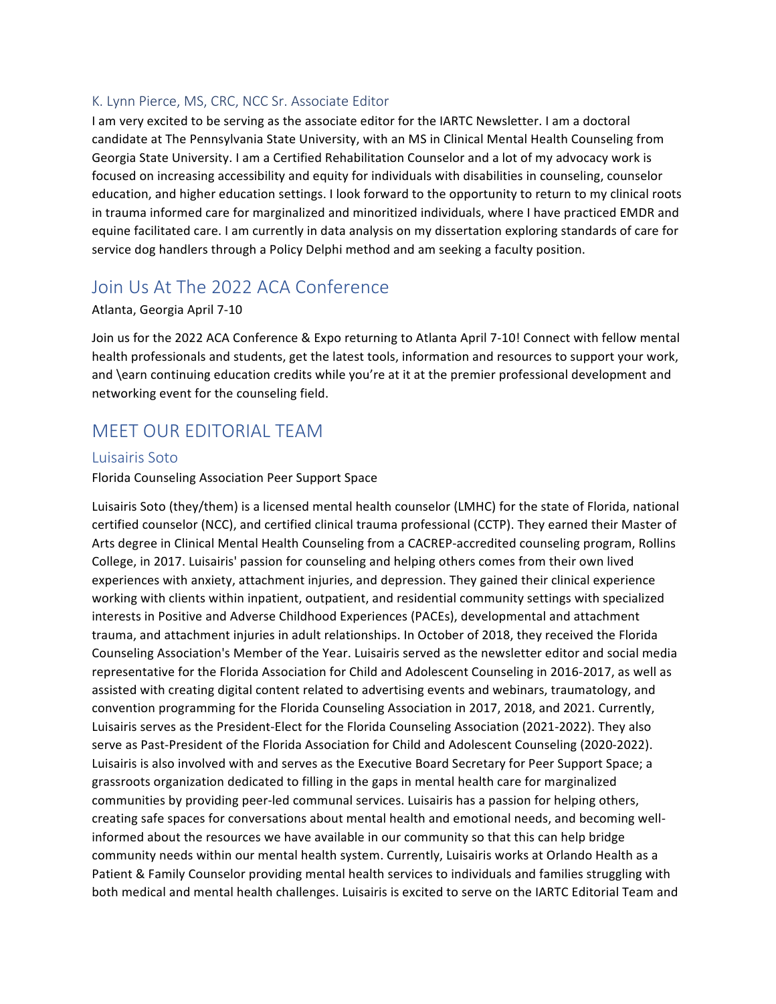#### K. Lynn Pierce, MS, CRC, NCC Sr. Associate Editor

I am very excited to be serving as the associate editor for the IARTC Newsletter. I am a doctoral candidate at The Pennsylvania State University, with an MS in Clinical Mental Health Counseling from Georgia State University. I am a Certified Rehabilitation Counselor and a lot of my advocacy work is focused on increasing accessibility and equity for individuals with disabilities in counseling, counselor education, and higher education settings. I look forward to the opportunity to return to my clinical roots in trauma informed care for marginalized and minoritized individuals, where I have practiced EMDR and equine facilitated care. I am currently in data analysis on my dissertation exploring standards of care for service dog handlers through a Policy Delphi method and am seeking a faculty position.

## Join Us At The 2022 ACA Conference

#### Atlanta, Georgia April 7-10

Join us for the 2022 ACA Conference & Expo returning to Atlanta April 7-10! Connect with fellow mental health professionals and students, get the latest tools, information and resources to support your work, and \earn continuing education credits while you're at it at the premier professional development and networking event for the counseling field.

### MEET OUR EDITORIAL TEAM

#### Luisairis Soto

#### Florida Counseling Association Peer Support Space

Luisairis Soto (they/them) is a licensed mental health counselor (LMHC) for the state of Florida, national certified counselor (NCC), and certified clinical trauma professional (CCTP). They earned their Master of Arts degree in Clinical Mental Health Counseling from a CACREP-accredited counseling program, Rollins College, in 2017. Luisairis' passion for counseling and helping others comes from their own lived experiences with anxiety, attachment injuries, and depression. They gained their clinical experience working with clients within inpatient, outpatient, and residential community settings with specialized interests in Positive and Adverse Childhood Experiences (PACEs), developmental and attachment trauma, and attachment injuries in adult relationships. In October of 2018, they received the Florida Counseling Association's Member of the Year. Luisairis served as the newsletter editor and social media representative for the Florida Association for Child and Adolescent Counseling in 2016-2017, as well as assisted with creating digital content related to advertising events and webinars, traumatology, and convention programming for the Florida Counseling Association in 2017, 2018, and 2021. Currently, Luisairis serves as the President-Elect for the Florida Counseling Association (2021-2022). They also serve as Past-President of the Florida Association for Child and Adolescent Counseling (2020-2022). Luisairis is also involved with and serves as the Executive Board Secretary for Peer Support Space; a grassroots organization dedicated to filling in the gaps in mental health care for marginalized communities by providing peer-led communal services. Luisairis has a passion for helping others, creating safe spaces for conversations about mental health and emotional needs, and becoming wellinformed about the resources we have available in our community so that this can help bridge community needs within our mental health system. Currently, Luisairis works at Orlando Health as a Patient & Family Counselor providing mental health services to individuals and families struggling with both medical and mental health challenges. Luisairis is excited to serve on the IARTC Editorial Team and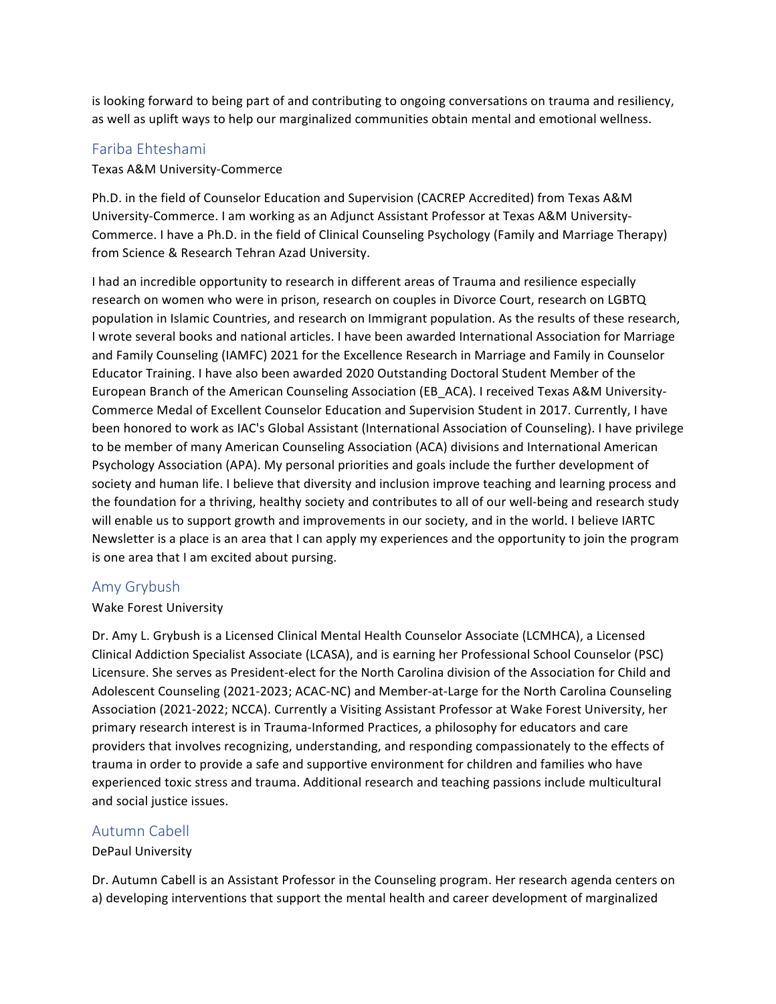is looking forward to being part of and contributing to ongoing conversations on trauma and resiliency, as well as uplift ways to help our marginalized communities obtain mental and emotional wellness.

#### Fariba Ehteshami

Texas A&M University-Commerce

Ph.D. in the field of Counselor Education and Supervision (CACREP Accredited) from Texas A&M University-Commerce. I am working as an Adjunct Assistant Professor at Texas A&M University-Commerce. I have a Ph.D. in the field of Clinical Counseling Psychology (Family and Marriage Therapy) from Science & Research Tehran Azad University.

I had an incredible opportunity to research in different areas of Trauma and resilience especially research on women who were in prison, research on couples in Divorce Court, research on LGBTQ population in Islamic Countries, and research on Immigrant population. As the results of these research, I wrote several books and national articles. I have been awarded International Association for Marriage and Family Counseling (IAMFC) 2021 for the Excellence Research in Marriage and Family in Counselor Educator Training. I have also been awarded 2020 Outstanding Doctoral Student Member of the European Branch of the American Counseling Association (EB ACA). I received Texas A&M University-Commerce Medal of Excellent Counselor Education and Supervision Student in 2017. Currently, I have been honored to work as IAC's Global Assistant (International Association of Counseling). I have privilege to be member of many American Counseling Association (ACA) divisions and International American Psychology Association (APA). My personal priorities and goals include the further development of society and human life. I believe that diversity and inclusion improve teaching and learning process and the foundation for a thriving, healthy society and contributes to all of our well-being and research study will enable us to support growth and improvements in our society, and in the world. I believe IARTC Newsletter is a place is an area that I can apply my experiences and the opportunity to join the program is one area that I am excited about pursing.

#### Amy Grybush

#### Wake Forest University

Dr. Amy L. Grybush is a Licensed Clinical Mental Health Counselor Associate (LCMHCA), a Licensed Clinical Addiction Specialist Associate (LCASA), and is earning her Professional School Counselor (PSC) Licensure. She serves as President-elect for the North Carolina division of the Association for Child and Adolescent Counseling (2021-2023; ACAC-NC) and Member-at-Large for the North Carolina Counseling Association (2021-2022; NCCA). Currently a Visiting Assistant Professor at Wake Forest University, her primary research interest is in Trauma-Informed Practices, a philosophy for educators and care providers that involves recognizing, understanding, and responding compassionately to the effects of trauma in order to provide a safe and supportive environment for children and families who have experienced toxic stress and trauma. Additional research and teaching passions include multicultural and social justice issues.

#### Autumn Cabell

#### DePaul University

Dr. Autumn Cabell is an Assistant Professor in the Counseling program. Her research agenda centers on a) developing interventions that support the mental health and career development of marginalized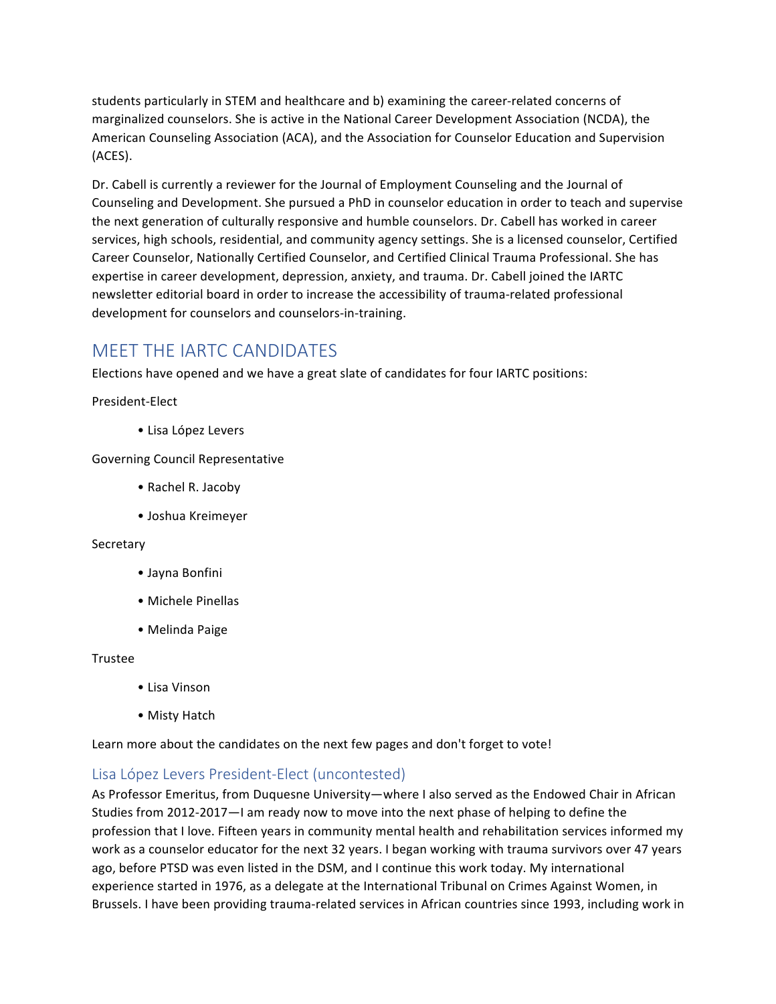students particularly in STEM and healthcare and b) examining the career-related concerns of marginalized counselors. She is active in the National Career Development Association (NCDA), the American Counseling Association (ACA), and the Association for Counselor Education and Supervision (ACES).

Dr. Cabell is currently a reviewer for the Journal of Employment Counseling and the Journal of Counseling and Development. She pursued a PhD in counselor education in order to teach and supervise the next generation of culturally responsive and humble counselors. Dr. Cabell has worked in career services, high schools, residential, and community agency settings. She is a licensed counselor, Certified Career Counselor, Nationally Certified Counselor, and Certified Clinical Trauma Professional. She has expertise in career development, depression, anxiety, and trauma. Dr. Cabell joined the IARTC newsletter editorial board in order to increase the accessibility of trauma-related professional development for counselors and counselors-in-training.

## MEET THE IARTC CANDIDATES

Elections have opened and we have a great slate of candidates for four IARTC positions:

President-Elect

• Lisa López Levers

Governing Council Representative

- Rachel R. Jacoby
- Joshua Kreimeyer

#### Secretary

- Jayna Bonfini
- Michele Pinellas
- Melinda Paige

#### Trustee

- • Lisa Vinson
- Misty Hatch

Learn more about the candidates on the next few pages and don't forget to vote!

#### Lisa López Levers President-Elect (uncontested)

As Professor Emeritus, from Duquesne University—where I also served as the Endowed Chair in African Studies from 2012-2017—I am ready now to move into the next phase of helping to define the profession that I love. Fifteen years in community mental health and rehabilitation services informed my work as a counselor educator for the next 32 years. I began working with trauma survivors over 47 years ago, before PTSD was even listed in the DSM, and I continue this work today. My international experience started in 1976, as a delegate at the International Tribunal on Crimes Against Women, in Brussels. I have been providing trauma-related services in African countries since 1993, including work in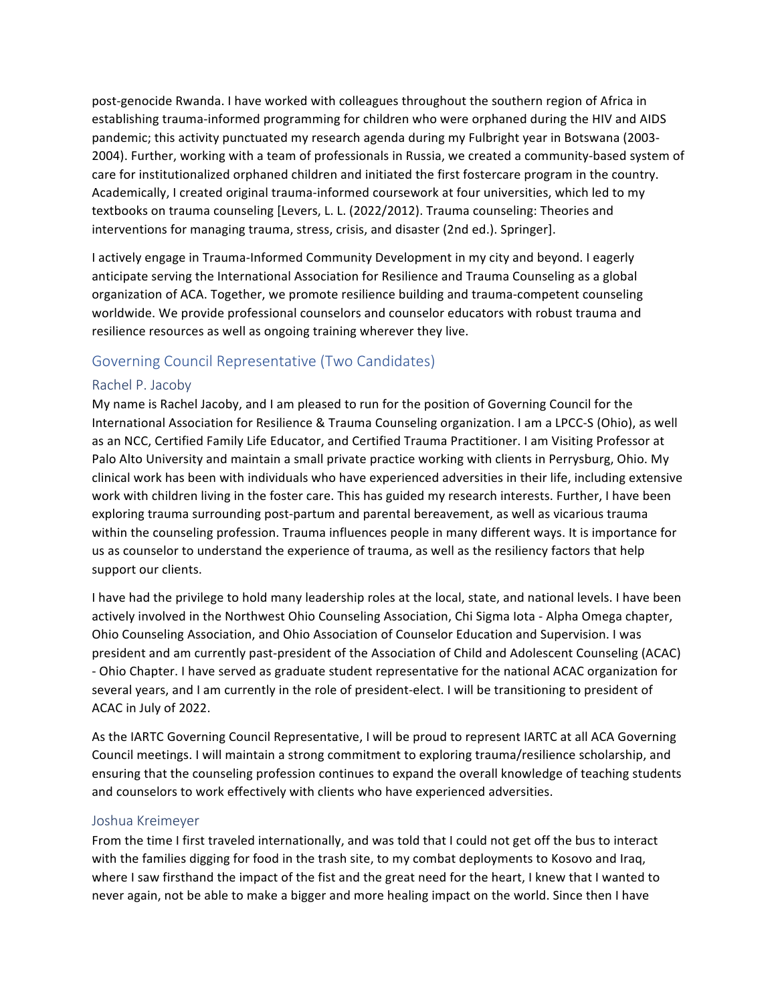post-genocide Rwanda. I have worked with colleagues throughout the southern region of Africa in establishing trauma-informed programming for children who were orphaned during the HIV and AIDS pandemic; this activity punctuated my research agenda during my Fulbright year in Botswana (2003-2004). Further, working with a team of professionals in Russia, we created a community-based system of care for institutionalized orphaned children and initiated the first fostercare program in the country. Academically, I created original trauma-informed coursework at four universities, which led to my textbooks on trauma counseling [Levers, L. L. (2022/2012). Trauma counseling: Theories and interventions for managing trauma, stress, crisis, and disaster (2nd ed.). Springer].

I actively engage in Trauma-Informed Community Development in my city and beyond. I eagerly anticipate serving the International Association for Resilience and Trauma Counseling as a global organization of ACA. Together, we promote resilience building and trauma-competent counseling worldwide. We provide professional counselors and counselor educators with robust trauma and resilience resources as well as ongoing training wherever they live.

#### Governing Council Representative (Two Candidates)

#### Rachel P. Jacoby

My name is Rachel Jacoby, and I am pleased to run for the position of Governing Council for the International Association for Resilience & Trauma Counseling organization. I am a LPCC-S (Ohio), as well as an NCC, Certified Family Life Educator, and Certified Trauma Practitioner. I am Visiting Professor at Palo Alto University and maintain a small private practice working with clients in Perrysburg, Ohio. My clinical work has been with individuals who have experienced adversities in their life, including extensive work with children living in the foster care. This has guided my research interests. Further, I have been exploring trauma surrounding post-partum and parental bereavement, as well as vicarious trauma within the counseling profession. Trauma influences people in many different ways. It is importance for us as counselor to understand the experience of trauma, as well as the resiliency factors that help support our clients.

I have had the privilege to hold many leadership roles at the local, state, and national levels. I have been actively involved in the Northwest Ohio Counseling Association, Chi Sigma Iota - Alpha Omega chapter, Ohio Counseling Association, and Ohio Association of Counselor Education and Supervision. I was president and am currently past-president of the Association of Child and Adolescent Counseling (ACAC) - Ohio Chapter. I have served as graduate student representative for the national ACAC organization for several years, and I am currently in the role of president-elect. I will be transitioning to president of ACAC in July of 2022.

As the IARTC Governing Council Representative, I will be proud to represent IARTC at all ACA Governing Council meetings. I will maintain a strong commitment to exploring trauma/resilience scholarship, and ensuring that the counseling profession continues to expand the overall knowledge of teaching students and counselors to work effectively with clients who have experienced adversities.

#### Joshua Kreimeyer

From the time I first traveled internationally, and was told that I could not get off the bus to interact with the families digging for food in the trash site, to my combat deployments to Kosovo and Iraq, where I saw firsthand the impact of the fist and the great need for the heart, I knew that I wanted to never again, not be able to make a bigger and more healing impact on the world. Since then I have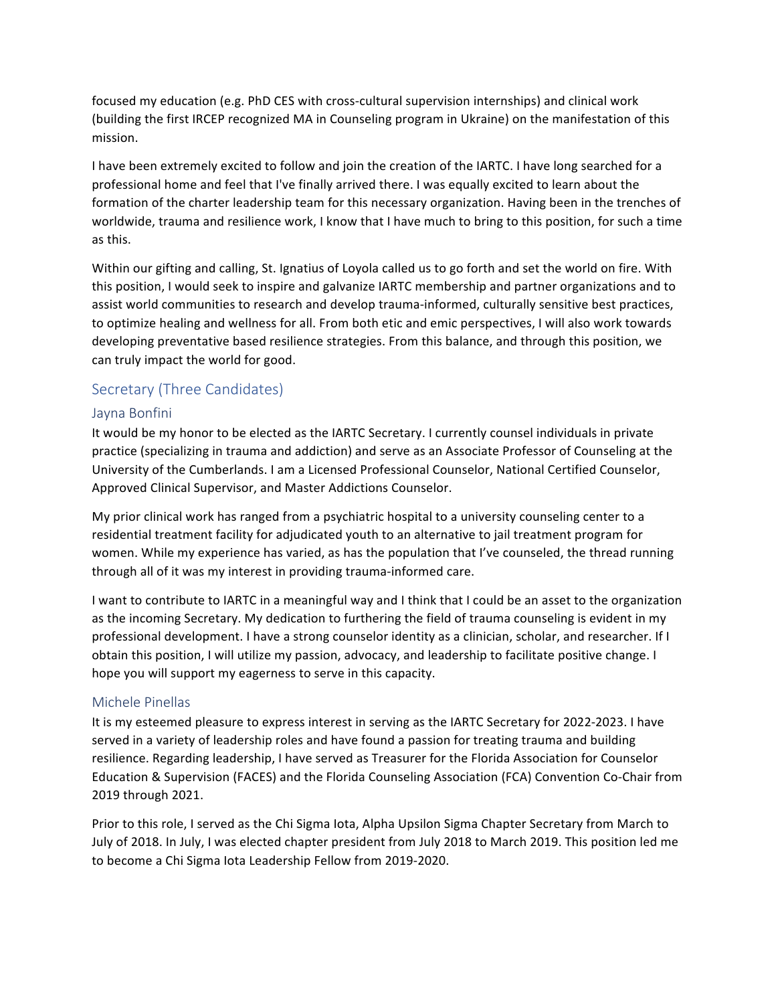focused my education (e.g. PhD CES with cross-cultural supervision internships) and clinical work (building the first IRCEP recognized MA in Counseling program in Ukraine) on the manifestation of this mission.

I have been extremely excited to follow and join the creation of the IARTC. I have long searched for a professional home and feel that I've finally arrived there. I was equally excited to learn about the formation of the charter leadership team for this necessary organization. Having been in the trenches of worldwide, trauma and resilience work, I know that I have much to bring to this position, for such a time as this.

Within our gifting and calling, St. Ignatius of Loyola called us to go forth and set the world on fire. With this position, I would seek to inspire and galvanize IARTC membership and partner organizations and to assist world communities to research and develop trauma-informed, culturally sensitive best practices, to optimize healing and wellness for all. From both etic and emic perspectives, I will also work towards developing preventative based resilience strategies. From this balance, and through this position, we can truly impact the world for good.

#### Secretary (Three Candidates)

#### Jayna Bonfini

It would be my honor to be elected as the IARTC Secretary. I currently counsel individuals in private practice (specializing in trauma and addiction) and serve as an Associate Professor of Counseling at the University of the Cumberlands. I am a Licensed Professional Counselor, National Certified Counselor, Approved Clinical Supervisor, and Master Addictions Counselor.

My prior clinical work has ranged from a psychiatric hospital to a university counseling center to a residential treatment facility for adjudicated youth to an alternative to jail treatment program for women. While my experience has varied, as has the population that I've counseled, the thread running through all of it was my interest in providing trauma-informed care.

I want to contribute to IARTC in a meaningful way and I think that I could be an asset to the organization as the incoming Secretary. My dedication to furthering the field of trauma counseling is evident in my professional development. I have a strong counselor identity as a clinician, scholar, and researcher. If I obtain this position, I will utilize my passion, advocacy, and leadership to facilitate positive change. I hope you will support my eagerness to serve in this capacity.

#### Michele Pinellas

It is my esteemed pleasure to express interest in serving as the IARTC Secretary for 2022-2023. I have served in a variety of leadership roles and have found a passion for treating trauma and building resilience. Regarding leadership, I have served as Treasurer for the Florida Association for Counselor Education & Supervision (FACES) and the Florida Counseling Association (FCA) Convention Co-Chair from 2019 through 2021.

Prior to this role, I served as the Chi Sigma Iota, Alpha Upsilon Sigma Chapter Secretary from March to July of 2018. In July, I was elected chapter president from July 2018 to March 2019. This position led me to become a Chi Sigma Iota Leadership Fellow from 2019-2020.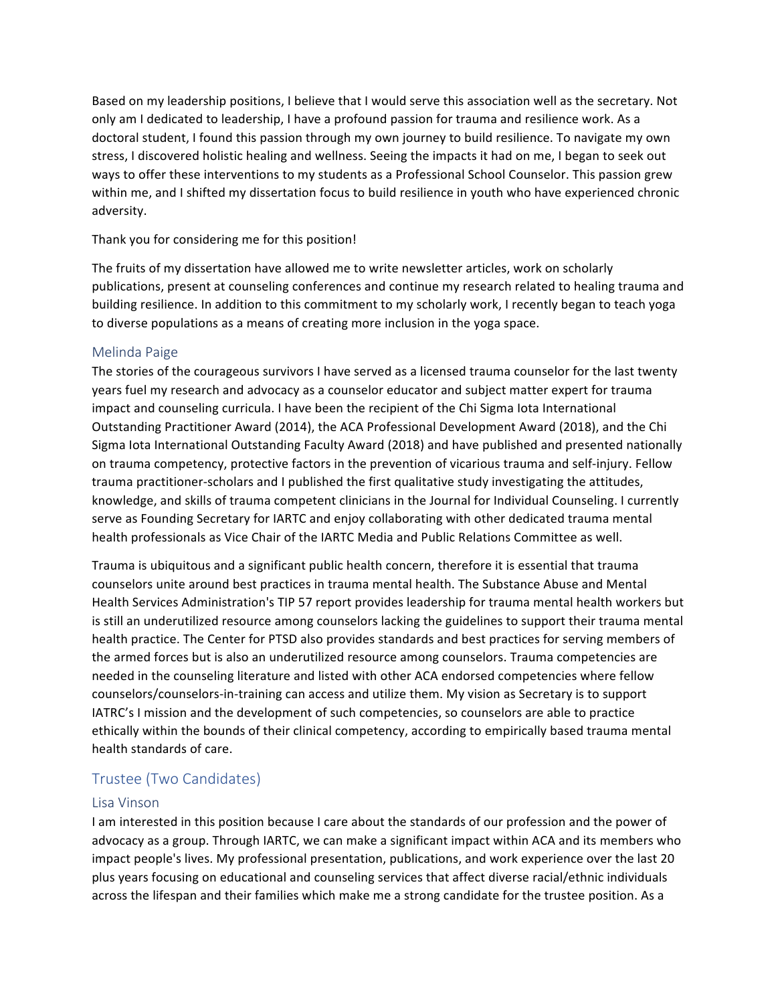Based on my leadership positions, I believe that I would serve this association well as the secretary. Not only am I dedicated to leadership, I have a profound passion for trauma and resilience work. As a doctoral student, I found this passion through my own journey to build resilience. To navigate my own stress, I discovered holistic healing and wellness. Seeing the impacts it had on me, I began to seek out ways to offer these interventions to my students as a Professional School Counselor. This passion grew within me, and I shifted my dissertation focus to build resilience in youth who have experienced chronic adversity.

#### Thank you for considering me for this position!

The fruits of my dissertation have allowed me to write newsletter articles, work on scholarly publications, present at counseling conferences and continue my research related to healing trauma and building resilience. In addition to this commitment to my scholarly work, I recently began to teach yoga to diverse populations as a means of creating more inclusion in the yoga space.

#### Melinda Paige

The stories of the courageous survivors I have served as a licensed trauma counselor for the last twenty years fuel my research and advocacy as a counselor educator and subject matter expert for trauma impact and counseling curricula. I have been the recipient of the Chi Sigma lota International Outstanding Practitioner Award (2014), the ACA Professional Development Award (2018), and the Chi Sigma lota International Outstanding Faculty Award (2018) and have published and presented nationally on trauma competency, protective factors in the prevention of vicarious trauma and self-injury. Fellow trauma practitioner-scholars and I published the first qualitative study investigating the attitudes, knowledge, and skills of trauma competent clinicians in the Journal for Individual Counseling. I currently serve as Founding Secretary for IARTC and enjoy collaborating with other dedicated trauma mental health professionals as Vice Chair of the IARTC Media and Public Relations Committee as well.

Trauma is ubiquitous and a significant public health concern, therefore it is essential that trauma counselors unite around best practices in trauma mental health. The Substance Abuse and Mental Health Services Administration's TIP 57 report provides leadership for trauma mental health workers but is still an underutilized resource among counselors lacking the guidelines to support their trauma mental health practice. The Center for PTSD also provides standards and best practices for serving members of the armed forces but is also an underutilized resource among counselors. Trauma competencies are needed in the counseling literature and listed with other ACA endorsed competencies where fellow counselors/counselors-in-training can access and utilize them. My vision as Secretary is to support IATRC's I mission and the development of such competencies, so counselors are able to practice ethically within the bounds of their clinical competency, according to empirically based trauma mental health standards of care.

#### Trustee (Two Candidates)

#### Lisa Vinson

I am interested in this position because I care about the standards of our profession and the power of advocacy as a group. Through IARTC, we can make a significant impact within ACA and its members who impact people's lives. My professional presentation, publications, and work experience over the last 20 plus years focusing on educational and counseling services that affect diverse racial/ethnic individuals across the lifespan and their families which make me a strong candidate for the trustee position. As a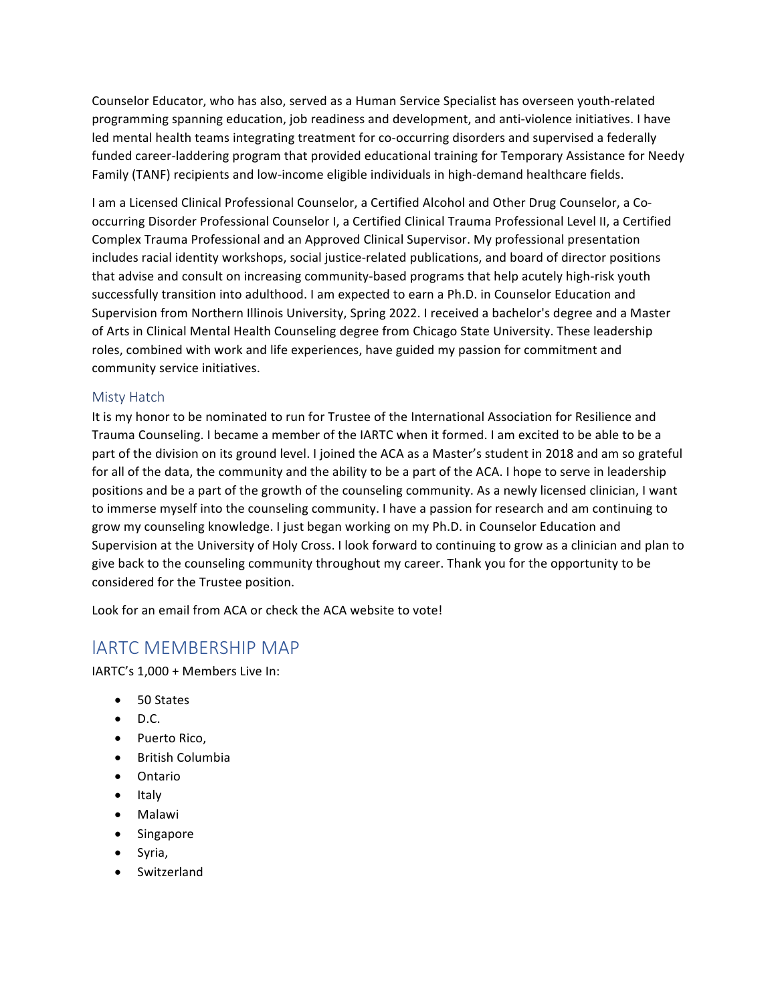Counselor Educator, who has also, served as a Human Service Specialist has overseen youth-related programming spanning education, job readiness and development, and anti-violence initiatives. I have led mental health teams integrating treatment for co-occurring disorders and supervised a federally funded career-laddering program that provided educational training for Temporary Assistance for Needy Family (TANF) recipients and low-income eligible individuals in high-demand healthcare fields.

I am a Licensed Clinical Professional Counselor, a Certified Alcohol and Other Drug Counselor, a Cooccurring Disorder Professional Counselor I, a Certified Clinical Trauma Professional Level II, a Certified Complex Trauma Professional and an Approved Clinical Supervisor. My professional presentation includes racial identity workshops, social justice-related publications, and board of director positions that advise and consult on increasing community-based programs that help acutely high-risk youth successfully transition into adulthood. I am expected to earn a Ph.D. in Counselor Education and Supervision from Northern Illinois University, Spring 2022. I received a bachelor's degree and a Master of Arts in Clinical Mental Health Counseling degree from Chicago State University. These leadership roles, combined with work and life experiences, have guided my passion for commitment and community service initiatives.

#### Misty Hatch

It is my honor to be nominated to run for Trustee of the International Association for Resilience and Trauma Counseling. I became a member of the IARTC when it formed. I am excited to be able to be a part of the division on its ground level. I joined the ACA as a Master's student in 2018 and am so grateful for all of the data, the community and the ability to be a part of the ACA. I hope to serve in leadership positions and be a part of the growth of the counseling community. As a newly licensed clinician, I want to immerse myself into the counseling community. I have a passion for research and am continuing to grow my counseling knowledge. I just began working on my Ph.D. in Counselor Education and Supervision at the University of Holy Cross. I look forward to continuing to grow as a clinician and plan to give back to the counseling community throughout my career. Thank you for the opportunity to be considered for the Trustee position.

Look for an email from ACA or check the ACA website to vote!

## lARTC MEMBERSHIP MAP

IARTC's 1,000 + Members Live In:

- 50 States
- $\bullet$  D.C.
- Puerto Rico,
- British Columbia
- Ontario
- Italy
- Malawi
- Singapore
- Syria,
- Switzerland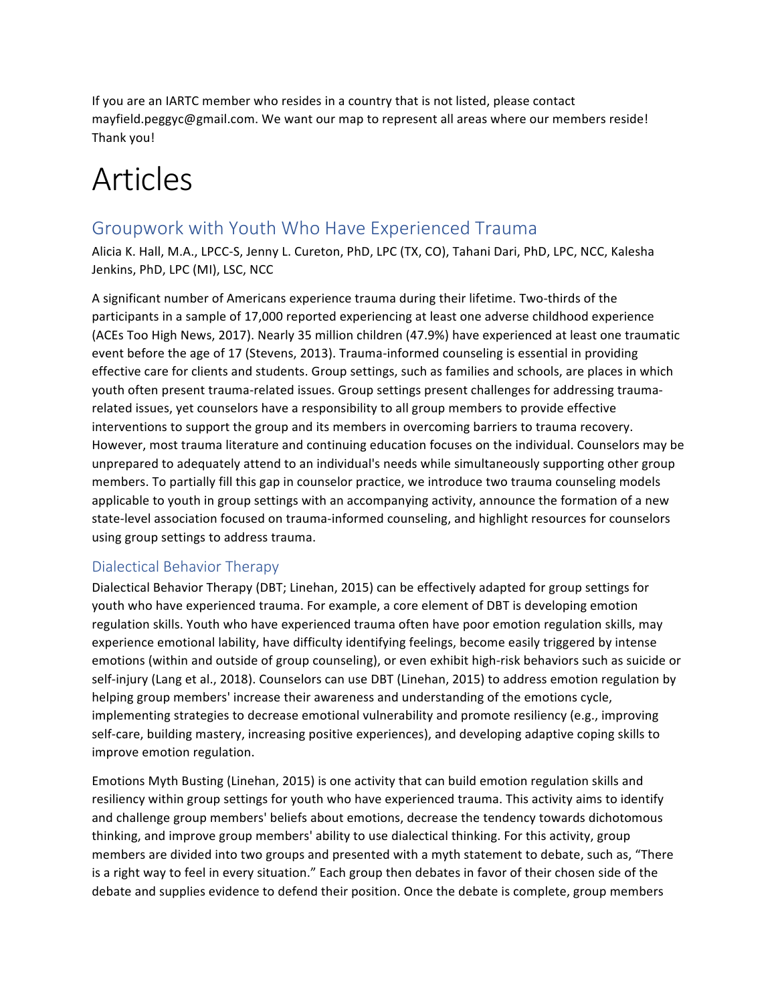If you are an IARTC member who resides in a country that is not listed, please contact mayfield.peggyc@gmail.com. We want our map to represent all areas where our members reside! Thank you!

# Articles

## Groupwork with Youth Who Have Experienced Trauma

Alicia K. Hall, M.A., LPCC-S, Jenny L. Cureton, PhD, LPC (TX, CO), Tahani Dari, PhD, LPC, NCC, Kalesha Jenkins, PhD, LPC (MI), LSC, NCC

A significant number of Americans experience trauma during their lifetime. Two-thirds of the participants in a sample of 17,000 reported experiencing at least one adverse childhood experience (ACEs Too High News, 2017). Nearly 35 million children (47.9%) have experienced at least one traumatic event before the age of 17 (Stevens, 2013). Trauma-informed counseling is essential in providing effective care for clients and students. Group settings, such as families and schools, are places in which youth often present trauma-related issues. Group settings present challenges for addressing traumarelated issues, yet counselors have a responsibility to all group members to provide effective interventions to support the group and its members in overcoming barriers to trauma recovery. However, most trauma literature and continuing education focuses on the individual. Counselors may be unprepared to adequately attend to an individual's needs while simultaneously supporting other group members. To partially fill this gap in counselor practice, we introduce two trauma counseling models applicable to youth in group settings with an accompanying activity, announce the formation of a new state-level association focused on trauma-informed counseling, and highlight resources for counselors using group settings to address trauma.

#### Dialectical Behavior Therapy

Dialectical Behavior Therapy (DBT; Linehan, 2015) can be effectively adapted for group settings for youth who have experienced trauma. For example, a core element of DBT is developing emotion regulation skills. Youth who have experienced trauma often have poor emotion regulation skills, may experience emotional lability, have difficulty identifying feelings, become easily triggered by intense emotions (within and outside of group counseling), or even exhibit high-risk behaviors such as suicide or self-injury (Lang et al., 2018). Counselors can use DBT (Linehan, 2015) to address emotion regulation by helping group members' increase their awareness and understanding of the emotions cycle, implementing strategies to decrease emotional vulnerability and promote resiliency (e.g., improving self-care, building mastery, increasing positive experiences), and developing adaptive coping skills to improve emotion regulation.

Emotions Myth Busting (Linehan, 2015) is one activity that can build emotion regulation skills and resiliency within group settings for youth who have experienced trauma. This activity aims to identify and challenge group members' beliefs about emotions, decrease the tendency towards dichotomous thinking, and improve group members' ability to use dialectical thinking. For this activity, group members are divided into two groups and presented with a myth statement to debate, such as, "There is a right way to feel in every situation." Each group then debates in favor of their chosen side of the debate and supplies evidence to defend their position. Once the debate is complete, group members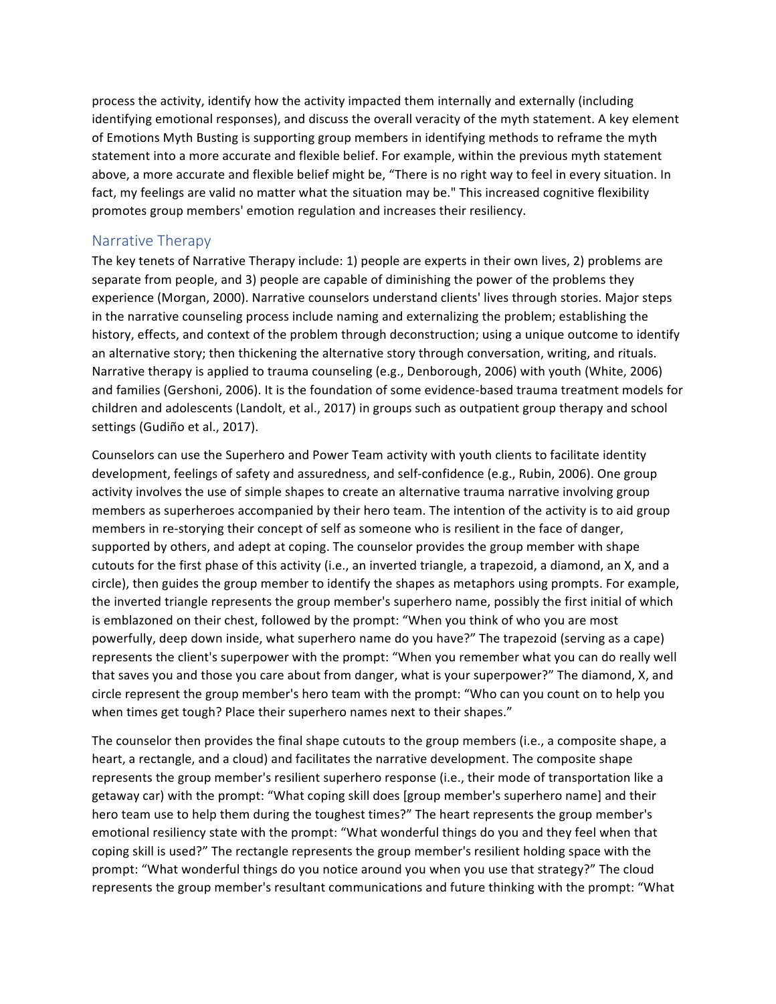process the activity, identify how the activity impacted them internally and externally (including identifying emotional responses), and discuss the overall veracity of the myth statement. A key element of Emotions Myth Busting is supporting group members in identifying methods to reframe the myth statement into a more accurate and flexible belief. For example, within the previous myth statement above, a more accurate and flexible belief might be, "There is no right way to feel in every situation. In fact, my feelings are valid no matter what the situation may be." This increased cognitive flexibility promotes group members' emotion regulation and increases their resiliency.

#### Narrative Therapy

The key tenets of Narrative Therapy include: 1) people are experts in their own lives, 2) problems are separate from people, and 3) people are capable of diminishing the power of the problems they experience (Morgan, 2000). Narrative counselors understand clients' lives through stories. Major steps in the narrative counseling process include naming and externalizing the problem; establishing the history, effects, and context of the problem through deconstruction; using a unique outcome to identify an alternative story; then thickening the alternative story through conversation, writing, and rituals. Narrative therapy is applied to trauma counseling (e.g., Denborough, 2006) with youth (White, 2006) and families (Gershoni, 2006). It is the foundation of some evidence-based trauma treatment models for children and adolescents (Landolt, et al., 2017) in groups such as outpatient group therapy and school settings (Gudiño et al., 2017).

Counselors can use the Superhero and Power Team activity with youth clients to facilitate identity development, feelings of safety and assuredness, and self-confidence (e.g., Rubin, 2006). One group activity involves the use of simple shapes to create an alternative trauma narrative involving group members as superheroes accompanied by their hero team. The intention of the activity is to aid group members in re-storying their concept of self as someone who is resilient in the face of danger, supported by others, and adept at coping. The counselor provides the group member with shape cutouts for the first phase of this activity (i.e., an inverted triangle, a trapezoid, a diamond, an X, and a circle), then guides the group member to identify the shapes as metaphors using prompts. For example, the inverted triangle represents the group member's superhero name, possibly the first initial of which is emblazoned on their chest, followed by the prompt: "When you think of who you are most powerfully, deep down inside, what superhero name do you have?" The trapezoid (serving as a cape) represents the client's superpower with the prompt: "When you remember what you can do really well that saves you and those you care about from danger, what is your superpower?" The diamond, X, and circle represent the group member's hero team with the prompt: "Who can you count on to help you when times get tough? Place their superhero names next to their shapes."

The counselor then provides the final shape cutouts to the group members (i.e., a composite shape, a heart, a rectangle, and a cloud) and facilitates the narrative development. The composite shape represents the group member's resilient superhero response (i.e., their mode of transportation like a getaway car) with the prompt: "What coping skill does [group member's superhero name] and their hero team use to help them during the toughest times?" The heart represents the group member's emotional resiliency state with the prompt: "What wonderful things do you and they feel when that coping skill is used?" The rectangle represents the group member's resilient holding space with the prompt: "What wonderful things do you notice around you when you use that strategy?" The cloud represents the group member's resultant communications and future thinking with the prompt: "What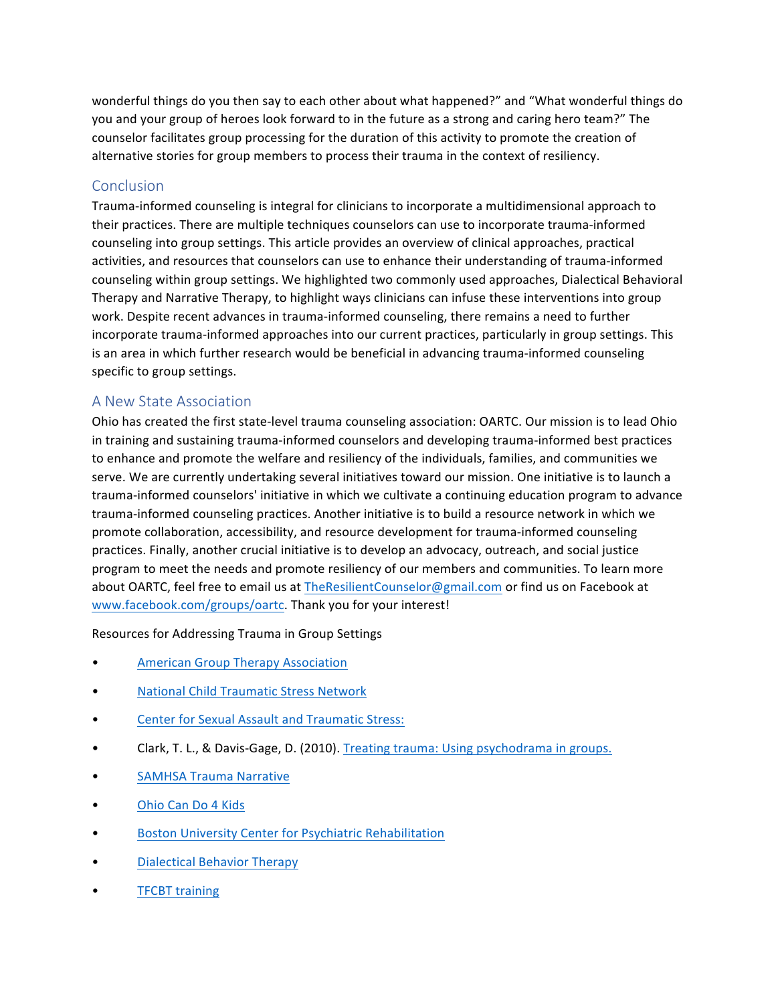wonderful things do you then say to each other about what happened?" and "What wonderful things do you and your group of heroes look forward to in the future as a strong and caring hero team?" The counselor facilitates group processing for the duration of this activity to promote the creation of alternative stories for group members to process their trauma in the context of resiliency.

#### Conclusion

Trauma-informed counseling is integral for clinicians to incorporate a multidimensional approach to their practices. There are multiple techniques counselors can use to incorporate trauma-informed counseling into group settings. This article provides an overview of clinical approaches, practical activities, and resources that counselors can use to enhance their understanding of trauma-informed counseling within group settings. We highlighted two commonly used approaches, Dialectical Behavioral Therapy and Narrative Therapy, to highlight ways clinicians can infuse these interventions into group work. Despite recent advances in trauma-informed counseling, there remains a need to further incorporate trauma-informed approaches into our current practices, particularly in group settings. This is an area in which further research would be beneficial in advancing trauma-informed counseling specific to group settings.

#### A New State Association

Ohio has created the first state-level trauma counseling association: OARTC. Our mission is to lead Ohio in training and sustaining trauma-informed counselors and developing trauma-informed best practices to enhance and promote the welfare and resiliency of the individuals, families, and communities we serve. We are currently undertaking several initiatives toward our mission. One initiative is to launch a trauma-informed counselors' initiative in which we cultivate a continuing education program to advance trauma-informed counseling practices. Another initiative is to build a resource network in which we promote collaboration, accessibility, and resource development for trauma-informed counseling practices. Finally, another crucial initiative is to develop an advocacy, outreach, and social justice program to meet the needs and promote resiliency of our members and communities. To learn more about OARTC, feel free to email us at TheResilientCounselor@gmail.com or find us on Facebook at www.facebook.com/groups/oartc. Thank you for your interest!

Resources for Addressing Trauma in Group Settings

- **American Group Therapy Association**
- National Child Traumatic Stress Network
- Center for Sexual Assault and Traumatic Stress:
- Clark, T. L., & Davis-Gage, D. (2010). Treating trauma: Using psychodrama in groups.
- **SAMHSA Trauma Narrative**
- Ohio Can Do 4 Kids
- Boston University Center for Psychiatric Rehabilitation
- Dialectical Behavior Therapy
- **TFCBT** training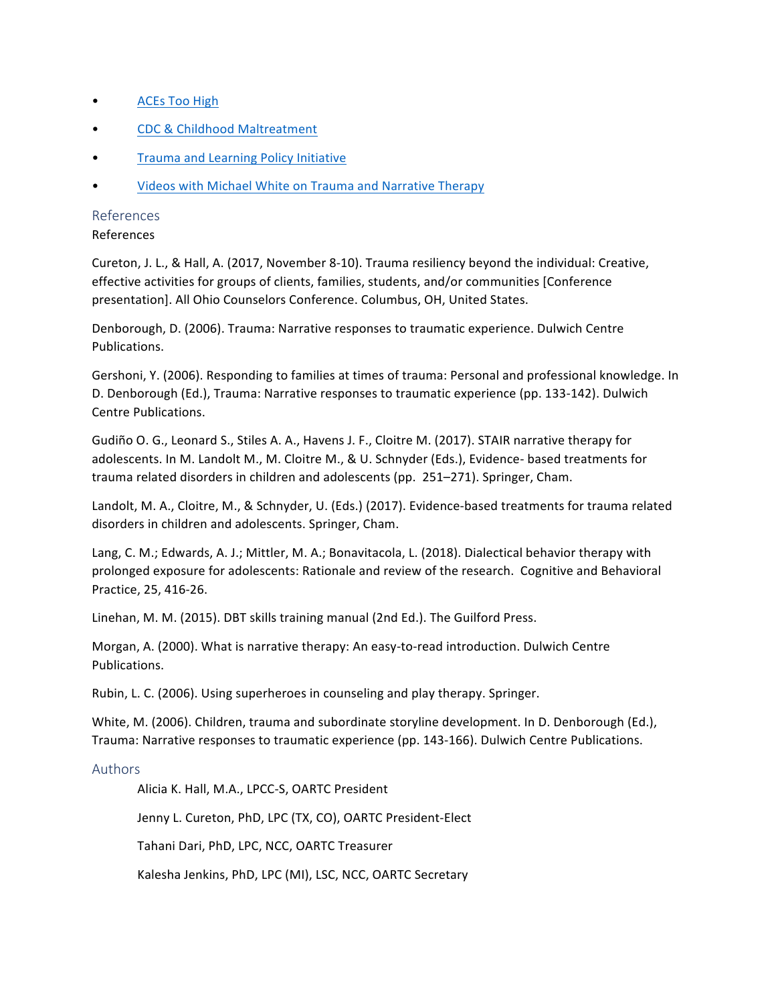- ACEs Too High
- CDC & Childhood Maltreatment
- Trauma and Learning Policy Initiative
- Videos with Michael White on Trauma and Narrative Therapy

#### References

#### References

Cureton, J. L., & Hall, A. (2017, November 8-10). Trauma resiliency beyond the individual: Creative, effective activities for groups of clients, families, students, and/or communities [Conference] presentation]. All Ohio Counselors Conference. Columbus, OH, United States.

Denborough, D. (2006). Trauma: Narrative responses to traumatic experience. Dulwich Centre Publications.

Gershoni, Y. (2006). Responding to families at times of trauma: Personal and professional knowledge. In D. Denborough (Ed.), Trauma: Narrative responses to traumatic experience (pp. 133-142). Dulwich Centre Publications.

Gudiño O. G., Leonard S., Stiles A. A., Havens J. F., Cloitre M. (2017). STAIR narrative therapy for adolescents. In M. Landolt M., M. Cloitre M., & U. Schnyder (Eds.), Evidence- based treatments for trauma related disorders in children and adolescents (pp. 251–271). Springer, Cham.

Landolt, M. A., Cloitre, M., & Schnyder, U. (Eds.) (2017). Evidence-based treatments for trauma related disorders in children and adolescents. Springer, Cham.

Lang, C. M.; Edwards, A. J.; Mittler, M. A.; Bonavitacola, L. (2018). Dialectical behavior therapy with prolonged exposure for adolescents: Rationale and review of the research. Cognitive and Behavioral Practice, 25, 416-26.

Linehan, M. M. (2015). DBT skills training manual (2nd Ed.). The Guilford Press.

Morgan, A. (2000). What is narrative therapy: An easy-to-read introduction. Dulwich Centre Publications.

Rubin, L. C. (2006). Using superheroes in counseling and play therapy. Springer.

White, M. (2006). Children, trauma and subordinate storyline development. In D. Denborough (Ed.), Trauma: Narrative responses to traumatic experience (pp. 143-166). Dulwich Centre Publications.

#### Authors

Alicia K. Hall, M.A., LPCC-S, OARTC President

Jenny L. Cureton, PhD, LPC (TX, CO), OARTC President-Elect

Tahani Dari, PhD, LPC, NCC, OARTC Treasurer

Kalesha Jenkins, PhD, LPC (MI), LSC, NCC, OARTC Secretary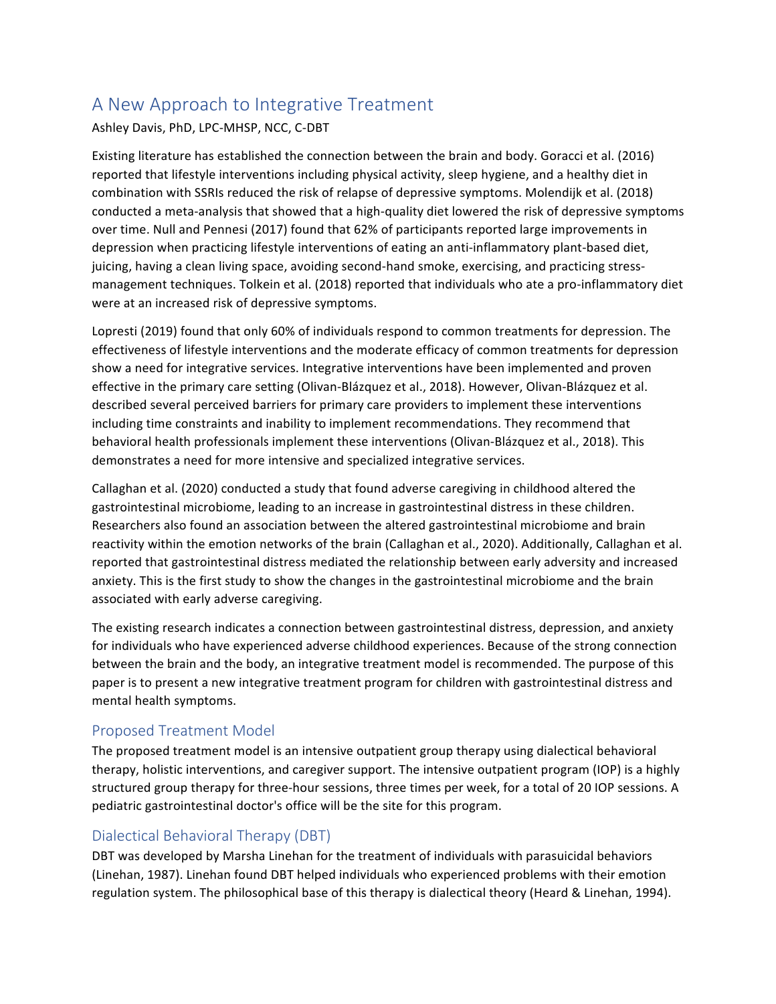## A New Approach to Integrative Treatment

#### Ashley Davis, PhD, LPC-MHSP, NCC, C-DBT

Existing literature has established the connection between the brain and body. Goracci et al. (2016) reported that lifestyle interventions including physical activity, sleep hygiene, and a healthy diet in combination with SSRIs reduced the risk of relapse of depressive symptoms. Molendijk et al. (2018) conducted a meta-analysis that showed that a high-quality diet lowered the risk of depressive symptoms over time. Null and Pennesi (2017) found that 62% of participants reported large improvements in depression when practicing lifestyle interventions of eating an anti-inflammatory plant-based diet, juicing, having a clean living space, avoiding second-hand smoke, exercising, and practicing stressmanagement techniques. Tolkein et al. (2018) reported that individuals who ate a pro-inflammatory diet were at an increased risk of depressive symptoms.

Lopresti (2019) found that only 60% of individuals respond to common treatments for depression. The effectiveness of lifestyle interventions and the moderate efficacy of common treatments for depression show a need for integrative services. Integrative interventions have been implemented and proven effective in the primary care setting (Olivan-Blázquez et al., 2018). However, Olivan-Blázquez et al. described several perceived barriers for primary care providers to implement these interventions including time constraints and inability to implement recommendations. They recommend that behavioral health professionals implement these interventions (Olivan-Blázquez et al., 2018). This demonstrates a need for more intensive and specialized integrative services.

Callaghan et al. (2020) conducted a study that found adverse caregiving in childhood altered the gastrointestinal microbiome, leading to an increase in gastrointestinal distress in these children. Researchers also found an association between the altered gastrointestinal microbiome and brain reactivity within the emotion networks of the brain (Callaghan et al., 2020). Additionally, Callaghan et al. reported that gastrointestinal distress mediated the relationship between early adversity and increased anxiety. This is the first study to show the changes in the gastrointestinal microbiome and the brain associated with early adverse caregiving.

The existing research indicates a connection between gastrointestinal distress, depression, and anxiety for individuals who have experienced adverse childhood experiences. Because of the strong connection between the brain and the body, an integrative treatment model is recommended. The purpose of this paper is to present a new integrative treatment program for children with gastrointestinal distress and mental health symptoms.

#### Proposed Treatment Model

The proposed treatment model is an intensive outpatient group therapy using dialectical behavioral therapy, holistic interventions, and caregiver support. The intensive outpatient program (IOP) is a highly structured group therapy for three-hour sessions, three times per week, for a total of 20 IOP sessions. A pediatric gastrointestinal doctor's office will be the site for this program.

#### Dialectical Behavioral Therapy (DBT)

DBT was developed by Marsha Linehan for the treatment of individuals with parasuicidal behaviors (Linehan, 1987). Linehan found DBT helped individuals who experienced problems with their emotion regulation system. The philosophical base of this therapy is dialectical theory (Heard & Linehan, 1994).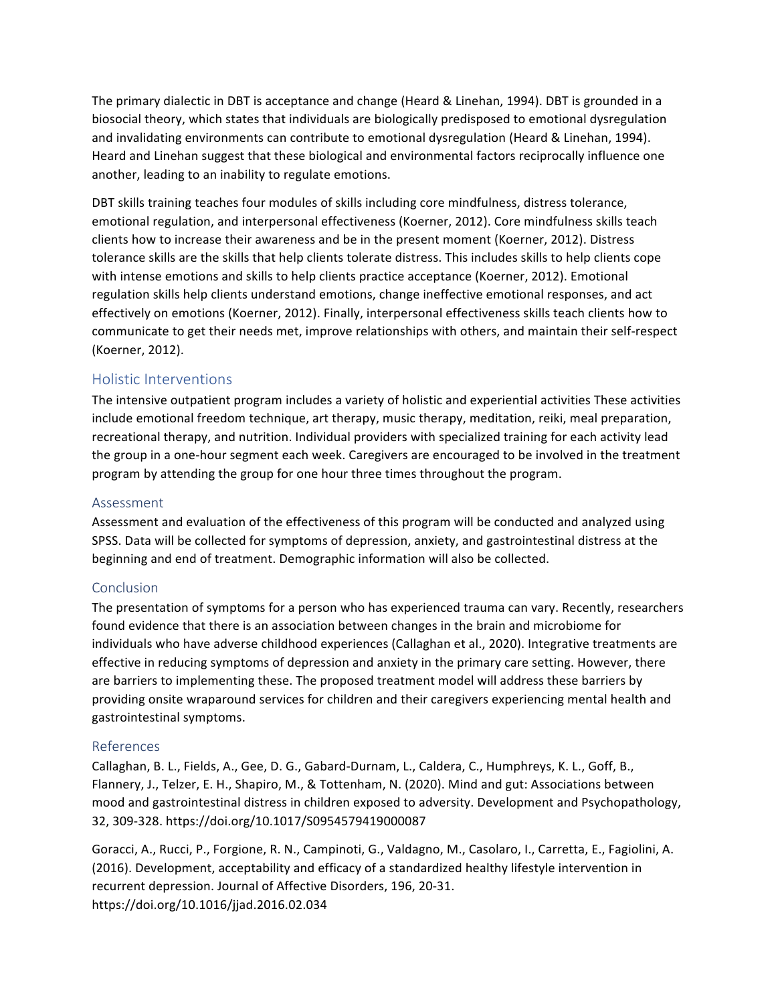The primary dialectic in DBT is acceptance and change (Heard & Linehan, 1994). DBT is grounded in a biosocial theory, which states that individuals are biologically predisposed to emotional dysregulation and invalidating environments can contribute to emotional dysregulation (Heard & Linehan, 1994). Heard and Linehan suggest that these biological and environmental factors reciprocally influence one another, leading to an inability to regulate emotions.

DBT skills training teaches four modules of skills including core mindfulness, distress tolerance, emotional regulation, and interpersonal effectiveness (Koerner, 2012). Core mindfulness skills teach clients how to increase their awareness and be in the present moment (Koerner, 2012). Distress tolerance skills are the skills that help clients tolerate distress. This includes skills to help clients cope with intense emotions and skills to help clients practice acceptance (Koerner, 2012). Emotional regulation skills help clients understand emotions, change ineffective emotional responses, and act effectively on emotions (Koerner, 2012). Finally, interpersonal effectiveness skills teach clients how to communicate to get their needs met, improve relationships with others, and maintain their self-respect (Koerner, 2012).

#### Holistic Interventions

The intensive outpatient program includes a variety of holistic and experiential activities These activities include emotional freedom technique, art therapy, music therapy, meditation, reiki, meal preparation, recreational therapy, and nutrition. Individual providers with specialized training for each activity lead the group in a one-hour segment each week. Caregivers are encouraged to be involved in the treatment program by attending the group for one hour three times throughout the program.

#### Assessment

Assessment and evaluation of the effectiveness of this program will be conducted and analyzed using SPSS. Data will be collected for symptoms of depression, anxiety, and gastrointestinal distress at the beginning and end of treatment. Demographic information will also be collected.

#### **Conclusion**

The presentation of symptoms for a person who has experienced trauma can vary. Recently, researchers found evidence that there is an association between changes in the brain and microbiome for individuals who have adverse childhood experiences (Callaghan et al., 2020). Integrative treatments are effective in reducing symptoms of depression and anxiety in the primary care setting. However, there are barriers to implementing these. The proposed treatment model will address these barriers by providing onsite wraparound services for children and their caregivers experiencing mental health and gastrointestinal symptoms.

#### References

Callaghan, B. L., Fields, A., Gee, D. G., Gabard-Durnam, L., Caldera, C., Humphreys, K. L., Goff, B., Flannery, J., Telzer, E. H., Shapiro, M., & Tottenham, N. (2020). Mind and gut: Associations between mood and gastrointestinal distress in children exposed to adversity. Development and Psychopathology, 32, 309-328. https://doi.org/10.1017/S0954579419000087

Goracci, A., Rucci, P., Forgione, R. N., Campinoti, G., Valdagno, M., Casolaro, I., Carretta, E., Fagiolini, A. (2016). Development, acceptability and efficacy of a standardized healthy lifestyle intervention in recurrent depression. Journal of Affective Disorders, 196, 20-31. https://doi.org/10.1016/jjad.2016.02.034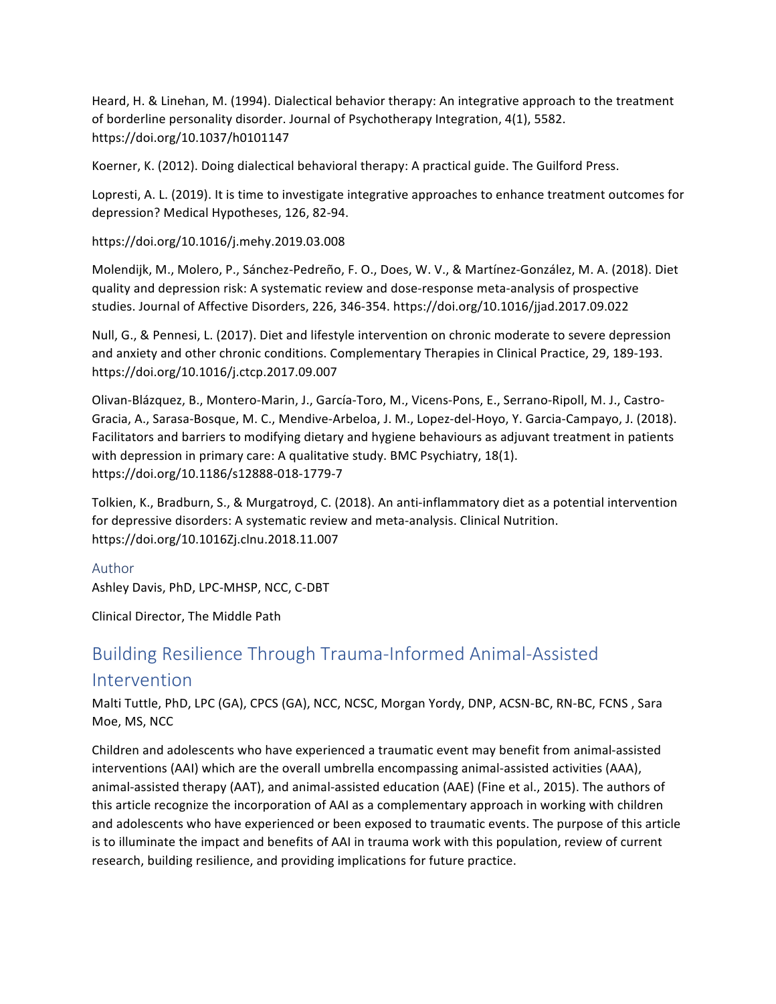Heard, H. & Linehan, M. (1994). Dialectical behavior therapy: An integrative approach to the treatment of borderline personality disorder. Journal of Psychotherapy Integration, 4(1), 5582. https://doi.org/10.1037/h0101147

Koerner, K. (2012). Doing dialectical behavioral therapy: A practical guide. The Guilford Press.

Lopresti, A. L. (2019). It is time to investigate integrative approaches to enhance treatment outcomes for depression? Medical Hypotheses, 126, 82-94.

https://doi.org/10.1016/j.mehy.2019.03.008

Molendijk, M., Molero, P., Sánchez-Pedreño, F. O., Does, W. V., & Martínez-González, M. A. (2018). Diet quality and depression risk: A systematic review and dose-response meta-analysis of prospective studies. Journal of Affective Disorders, 226, 346-354. https://doi.org/10.1016/jjad.2017.09.022

Null, G., & Pennesi, L. (2017). Diet and lifestyle intervention on chronic moderate to severe depression and anxiety and other chronic conditions. Complementary Therapies in Clinical Practice, 29, 189-193. https://doi.org/10.1016/j.ctcp.2017.09.007

Olivan-Blázquez, B., Montero-Marin, J., García-Toro, M., Vicens-Pons, E., Serrano-Ripoll, M. J., Castro-Gracia, A., Sarasa-Bosque, M. C., Mendive-Arbeloa, J. M., Lopez-del-Hoyo, Y. Garcia-Campayo, J. (2018). Facilitators and barriers to modifying dietary and hygiene behaviours as adjuvant treatment in patients with depression in primary care: A qualitative study. BMC Psychiatry,  $18(1)$ . https://doi.org/10.1186/s12888-018-1779-7

Tolkien, K., Bradburn, S., & Murgatroyd, C. (2018). An anti-inflammatory diet as a potential intervention for depressive disorders: A systematic review and meta-analysis. Clinical Nutrition. https://doi.org/10.1016Zj.clnu.2018.11.007

#### Author

Ashley Davis, PhD, LPC-MHSP, NCC, C-DBT

Clinical Director, The Middle Path

# Building Resilience Through Trauma-Informed Animal-Assisted

## Intervention

Malti Tuttle, PhD, LPC (GA), CPCS (GA), NCC, NCSC, Morgan Yordy, DNP, ACSN-BC, RN-BC, FCNS, Sara Moe, MS, NCC

Children and adolescents who have experienced a traumatic event may benefit from animal-assisted interventions (AAI) which are the overall umbrella encompassing animal-assisted activities (AAA), animal-assisted therapy (AAT), and animal-assisted education (AAE) (Fine et al., 2015). The authors of this article recognize the incorporation of AAI as a complementary approach in working with children and adolescents who have experienced or been exposed to traumatic events. The purpose of this article is to illuminate the impact and benefits of AAI in trauma work with this population, review of current research, building resilience, and providing implications for future practice.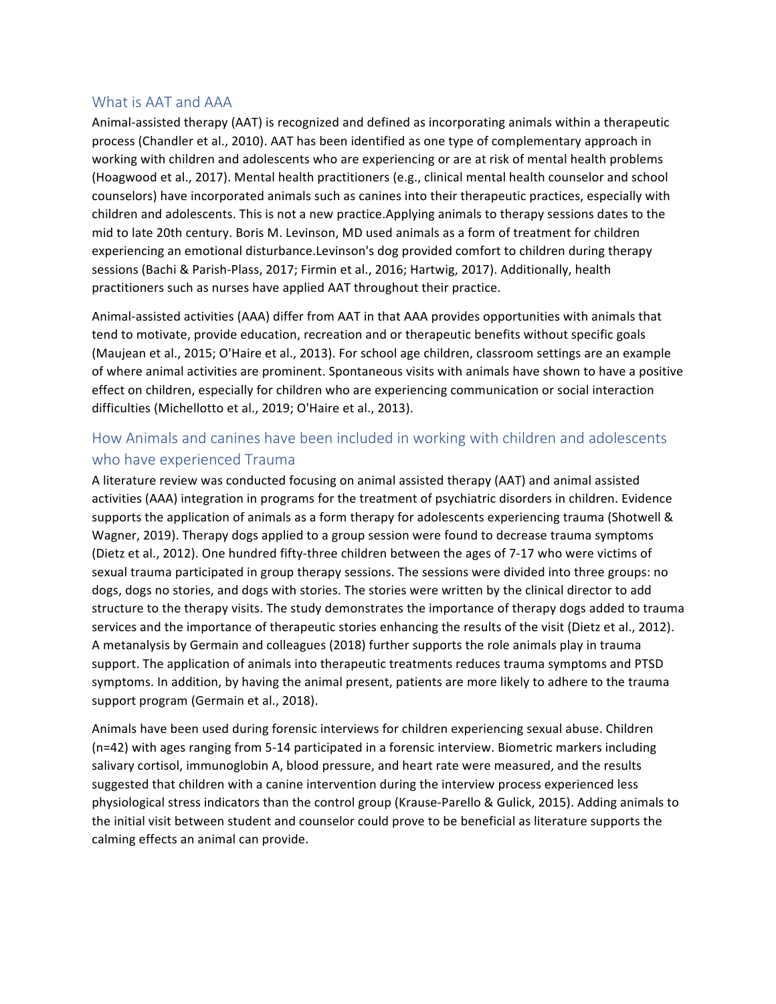#### What is AAT and AAA

Animal-assisted therapy (AAT) is recognized and defined as incorporating animals within a therapeutic process (Chandler et al., 2010). AAT has been identified as one type of complementary approach in working with children and adolescents who are experiencing or are at risk of mental health problems (Hoagwood et al., 2017). Mental health practitioners (e.g., clinical mental health counselor and school counselors) have incorporated animals such as canines into their therapeutic practices, especially with children and adolescents. This is not a new practice. Applying animals to therapy sessions dates to the mid to late 20th century. Boris M. Levinson, MD used animals as a form of treatment for children experiencing an emotional disturbance.Levinson's dog provided comfort to children during therapy sessions (Bachi & Parish-Plass, 2017; Firmin et al., 2016; Hartwig, 2017). Additionally, health practitioners such as nurses have applied AAT throughout their practice.

Animal-assisted activities (AAA) differ from AAT in that AAA provides opportunities with animals that tend to motivate, provide education, recreation and or therapeutic benefits without specific goals (Maujean et al., 2015; O'Haire et al., 2013). For school age children, classroom settings are an example of where animal activities are prominent. Spontaneous visits with animals have shown to have a positive effect on children, especially for children who are experiencing communication or social interaction difficulties (Michellotto et al., 2019; O'Haire et al., 2013).

### How Animals and canines have been included in working with children and adolescents who have experienced Trauma

A literature review was conducted focusing on animal assisted therapy (AAT) and animal assisted activities (AAA) integration in programs for the treatment of psychiatric disorders in children. Evidence supports the application of animals as a form therapy for adolescents experiencing trauma (Shotwell & Wagner, 2019). Therapy dogs applied to a group session were found to decrease trauma symptoms (Dietz et al., 2012). One hundred fifty-three children between the ages of 7-17 who were victims of sexual trauma participated in group therapy sessions. The sessions were divided into three groups: no dogs, dogs no stories, and dogs with stories. The stories were written by the clinical director to add structure to the therapy visits. The study demonstrates the importance of therapy dogs added to trauma services and the importance of therapeutic stories enhancing the results of the visit (Dietz et al., 2012). A metanalysis by Germain and colleagues (2018) further supports the role animals play in trauma support. The application of animals into therapeutic treatments reduces trauma symptoms and PTSD symptoms. In addition, by having the animal present, patients are more likely to adhere to the trauma support program (Germain et al., 2018).

Animals have been used during forensic interviews for children experiencing sexual abuse. Children (n=42) with ages ranging from 5-14 participated in a forensic interview. Biometric markers including salivary cortisol, immunoglobin A, blood pressure, and heart rate were measured, and the results suggested that children with a canine intervention during the interview process experienced less physiological stress indicators than the control group (Krause-Parello & Gulick, 2015). Adding animals to the initial visit between student and counselor could prove to be beneficial as literature supports the calming effects an animal can provide.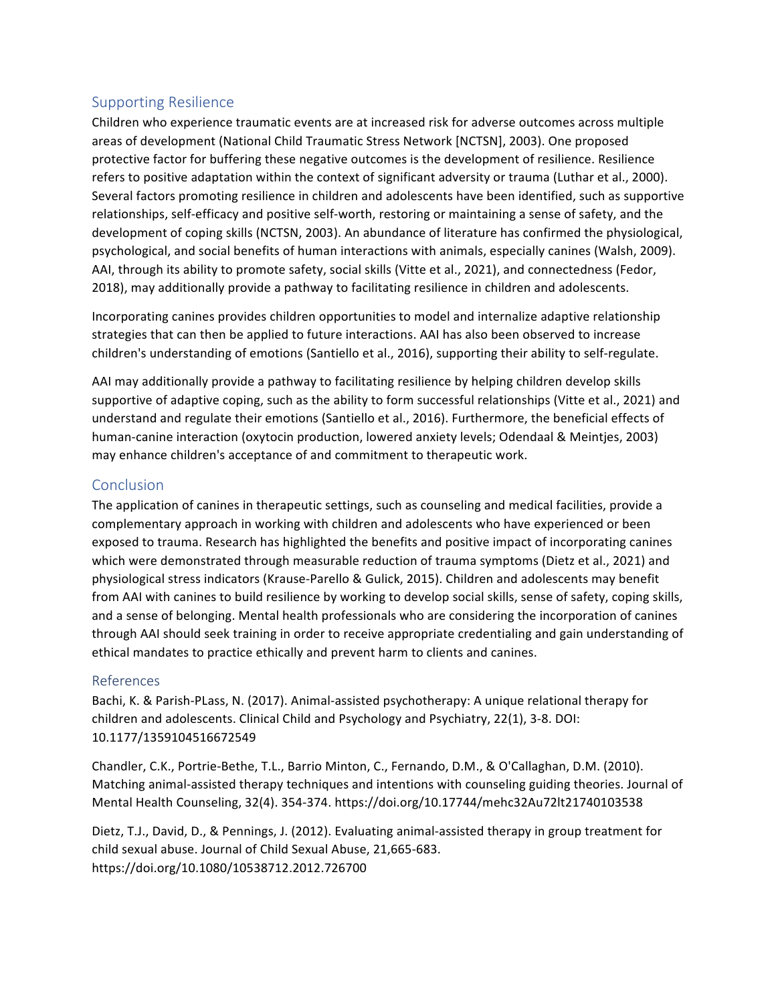#### Supporting Resilience

Children who experience traumatic events are at increased risk for adverse outcomes across multiple areas of development (National Child Traumatic Stress Network [NCTSN], 2003). One proposed protective factor for buffering these negative outcomes is the development of resilience. Resilience refers to positive adaptation within the context of significant adversity or trauma (Luthar et al., 2000). Several factors promoting resilience in children and adolescents have been identified, such as supportive relationships, self-efficacy and positive self-worth, restoring or maintaining a sense of safety, and the development of coping skills (NCTSN, 2003). An abundance of literature has confirmed the physiological, psychological, and social benefits of human interactions with animals, especially canines (Walsh, 2009). AAI, through its ability to promote safety, social skills (Vitte et al., 2021), and connectedness (Fedor, 2018), may additionally provide a pathway to facilitating resilience in children and adolescents.

Incorporating canines provides children opportunities to model and internalize adaptive relationship strategies that can then be applied to future interactions. AAI has also been observed to increase children's understanding of emotions (Santiello et al., 2016), supporting their ability to self-regulate.

AAI may additionally provide a pathway to facilitating resilience by helping children develop skills supportive of adaptive coping, such as the ability to form successful relationships (Vitte et al., 2021) and understand and regulate their emotions (Santiello et al., 2016). Furthermore, the beneficial effects of human-canine interaction (oxytocin production, lowered anxiety levels; Odendaal & Meintjes, 2003) may enhance children's acceptance of and commitment to therapeutic work.

#### **Conclusion**

The application of canines in therapeutic settings, such as counseling and medical facilities, provide a complementary approach in working with children and adolescents who have experienced or been exposed to trauma. Research has highlighted the benefits and positive impact of incorporating canines which were demonstrated through measurable reduction of trauma symptoms (Dietz et al., 2021) and physiological stress indicators (Krause-Parello & Gulick, 2015). Children and adolescents may benefit from AAI with canines to build resilience by working to develop social skills, sense of safety, coping skills, and a sense of belonging. Mental health professionals who are considering the incorporation of canines through AAI should seek training in order to receive appropriate credentialing and gain understanding of ethical mandates to practice ethically and prevent harm to clients and canines.

#### References

Bachi, K. & Parish-PLass, N. (2017). Animal-assisted psychotherapy: A unique relational therapy for children and adolescents. Clinical Child and Psychology and Psychiatry, 22(1), 3-8. DOI: 10.1177/1359104516672549

Chandler, C.K., Portrie-Bethe, T.L., Barrio Minton, C., Fernando, D.M., & O'Callaghan, D.M. (2010). Matching animal-assisted therapy techniques and intentions with counseling guiding theories. Journal of Mental Health Counseling, 32(4). 354-374. https://doi.org/10.17744/mehc32Au72lt21740103538

Dietz, T.J., David, D., & Pennings, J. (2012). Evaluating animal-assisted therapy in group treatment for child sexual abuse. Journal of Child Sexual Abuse, 21,665-683. https://doi.org/10.1080/10538712.2012.726700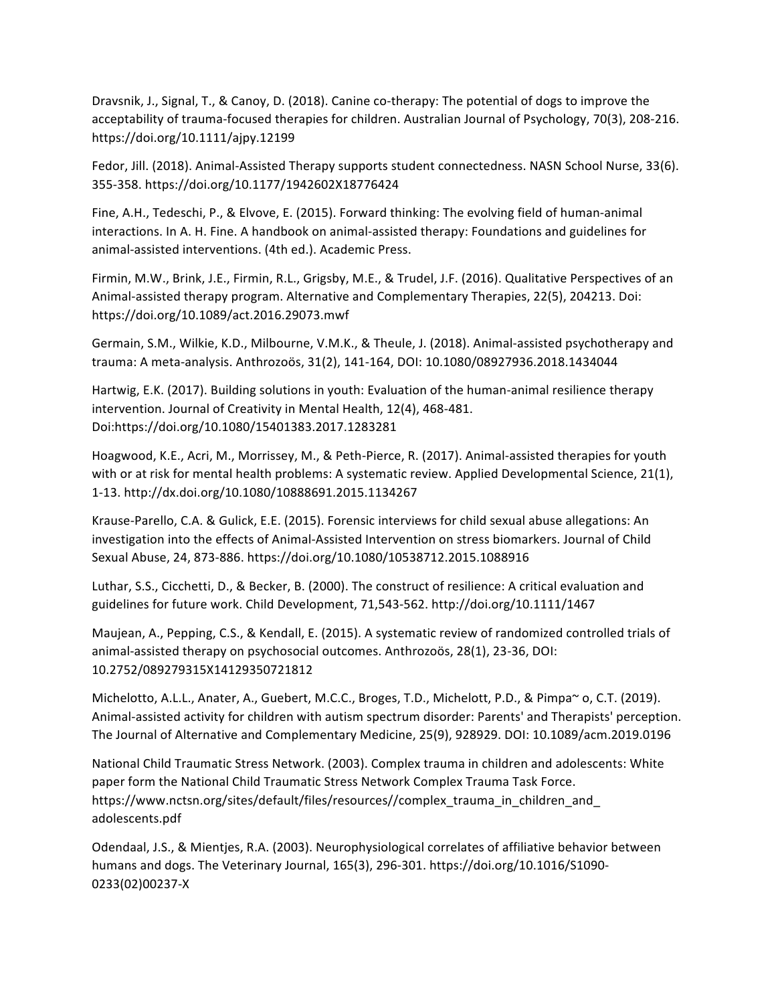Dravsnik, J., Signal, T., & Canoy, D. (2018). Canine co-therapy: The potential of dogs to improve the acceptability of trauma-focused therapies for children. Australian Journal of Psychology, 70(3), 208-216. https://doi.org/10.1111/ajpy.12199

Fedor, Jill. (2018). Animal-Assisted Therapy supports student connectedness. NASN School Nurse, 33(6). 355-358. https://doi.org/10.1177/1942602X18776424

Fine, A.H., Tedeschi, P., & Elvove, E. (2015). Forward thinking: The evolving field of human-animal interactions. In A. H. Fine. A handbook on animal-assisted therapy: Foundations and guidelines for animal-assisted interventions. (4th ed.). Academic Press.

Firmin, M.W., Brink, J.E., Firmin, R.L., Grigsby, M.E., & Trudel, J.F. (2016). Qualitative Perspectives of an Animal-assisted therapy program. Alternative and Complementary Therapies, 22(5), 204213. Doi: https://doi.org/10.1089/act.2016.29073.mwf

Germain, S.M., Wilkie, K.D., Milbourne, V.M.K., & Theule, J. (2018). Animal-assisted psychotherapy and trauma: A meta-analysis. Anthrozoös, 31(2), 141-164, DOI: 10.1080/08927936.2018.1434044

Hartwig, E.K. (2017). Building solutions in youth: Evaluation of the human-animal resilience therapy intervention. Journal of Creativity in Mental Health, 12(4), 468-481. Doi:https://doi.org/10.1080/15401383.2017.1283281

Hoagwood, K.E., Acri, M., Morrissey, M., & Peth-Pierce, R. (2017). Animal-assisted therapies for youth with or at risk for mental health problems: A systematic review. Applied Developmental Science, 21(1), 1-13. http://dx.doi.org/10.1080/10888691.2015.1134267

Krause-Parello, C.A. & Gulick, E.E. (2015). Forensic interviews for child sexual abuse allegations: An investigation into the effects of Animal-Assisted Intervention on stress biomarkers. Journal of Child Sexual Abuse, 24, 873-886. https://doi.org/10.1080/10538712.2015.1088916

Luthar, S.S., Cicchetti, D., & Becker, B. (2000). The construct of resilience: A critical evaluation and guidelines for future work. Child Development, 71,543-562. http://doi.org/10.1111/1467

Maujean, A., Pepping, C.S., & Kendall, E. (2015). A systematic review of randomized controlled trials of animal-assisted therapy on psychosocial outcomes. Anthrozoös, 28(1), 23-36, DOI: 10.2752/089279315X14129350721812

Michelotto, A.L.L., Anater, A., Guebert, M.C.C., Broges, T.D., Michelott, P.D., & Pimpa~ o, C.T. (2019). Animal-assisted activity for children with autism spectrum disorder: Parents' and Therapists' perception. The Journal of Alternative and Complementary Medicine, 25(9), 928929. DOI: 10.1089/acm.2019.0196

National Child Traumatic Stress Network. (2003). Complex trauma in children and adolescents: White paper form the National Child Traumatic Stress Network Complex Trauma Task Force. https://www.nctsn.org/sites/default/files/resources//complex\_trauma\_in\_children\_and adolescents.pdf

Odendaal, J.S., & Mientjes, R.A. (2003). Neurophysiological correlates of affiliative behavior between humans and dogs. The Veterinary Journal, 165(3), 296-301. https://doi.org/10.1016/S1090-0233(02)00237-X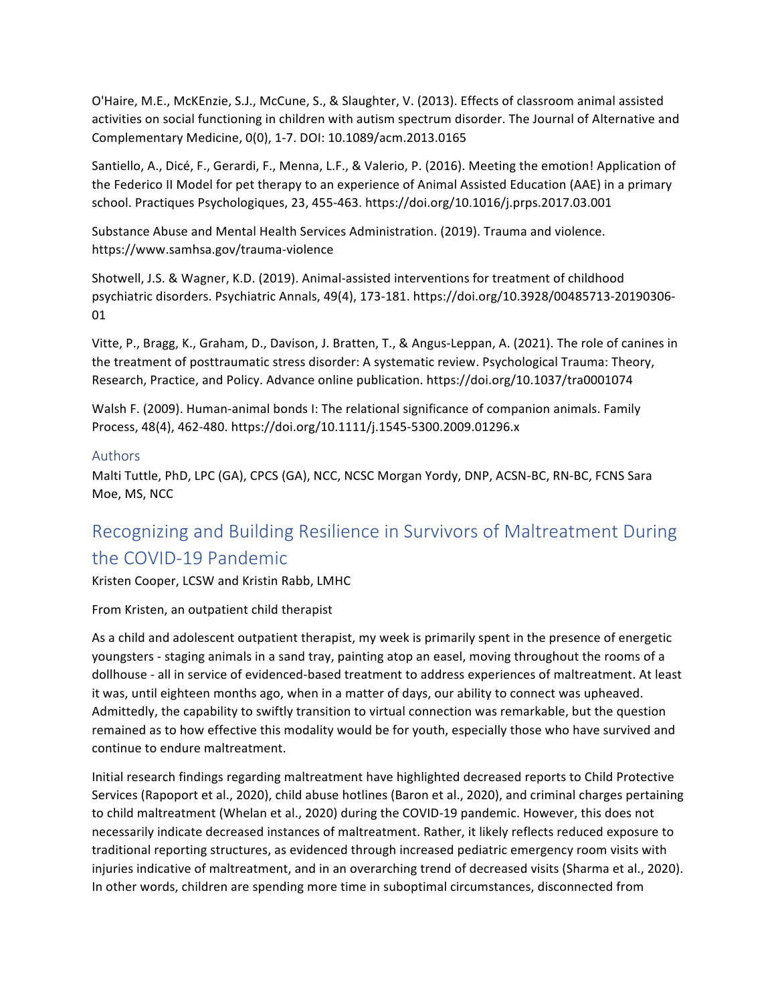O'Haire, M.E., McKEnzie, S.J., McCune, S., & Slaughter, V. (2013). Effects of classroom animal assisted activities on social functioning in children with autism spectrum disorder. The Journal of Alternative and Complementary Medicine, 0(0), 1-7. DOI: 10.1089/acm.2013.0165

Santiello, A., Dicé, F., Gerardi, F., Menna, L.F., & Valerio, P. (2016). Meeting the emotion! Application of the Federico II Model for pet therapy to an experience of Animal Assisted Education (AAE) in a primary school. Practiques Psychologiques, 23, 455-463. https://doi.org/10.1016/j.prps.2017.03.001

Substance Abuse and Mental Health Services Administration. (2019). Trauma and violence. https://www.samhsa.gov/trauma-violence

Shotwell, J.S. & Wagner, K.D. (2019). Animal-assisted interventions for treatment of childhood psychiatric disorders. Psychiatric Annals, 49(4), 173-181. https://doi.org/10.3928/00485713-20190306-01

Vitte, P., Bragg, K., Graham, D., Davison, J. Bratten, T., & Angus-Leppan, A. (2021). The role of canines in the treatment of posttraumatic stress disorder: A systematic review. Psychological Trauma: Theory, Research, Practice, and Policy. Advance online publication. https://doi.org/10.1037/tra0001074

Walsh F. (2009). Human-animal bonds I: The relational significance of companion animals. Family Process, 48(4), 462-480. https://doi.org/10.1111/j.1545-5300.2009.01296.x

#### Authors

Malti Tuttle, PhD, LPC (GA), CPCS (GA), NCC, NCSC Morgan Yordy, DNP, ACSN-BC, RN-BC, FCNS Sara Moe, MS, NCC

## Recognizing and Building Resilience in Survivors of Maltreatment During the COVID-19 Pandemic

Kristen Cooper, LCSW and Kristin Rabb, LMHC

From Kristen, an outpatient child therapist

As a child and adolescent outpatient therapist, my week is primarily spent in the presence of energetic youngsters - staging animals in a sand tray, painting atop an easel, moving throughout the rooms of a dollhouse - all in service of evidenced-based treatment to address experiences of maltreatment. At least it was, until eighteen months ago, when in a matter of days, our ability to connect was upheaved. Admittedly, the capability to swiftly transition to virtual connection was remarkable, but the question remained as to how effective this modality would be for youth, especially those who have survived and continue to endure maltreatment.

Initial research findings regarding maltreatment have highlighted decreased reports to Child Protective Services (Rapoport et al., 2020), child abuse hotlines (Baron et al., 2020), and criminal charges pertaining to child maltreatment (Whelan et al., 2020) during the COVID-19 pandemic. However, this does not necessarily indicate decreased instances of maltreatment. Rather, it likely reflects reduced exposure to traditional reporting structures, as evidenced through increased pediatric emergency room visits with injuries indicative of maltreatment, and in an overarching trend of decreased visits (Sharma et al., 2020). In other words, children are spending more time in suboptimal circumstances, disconnected from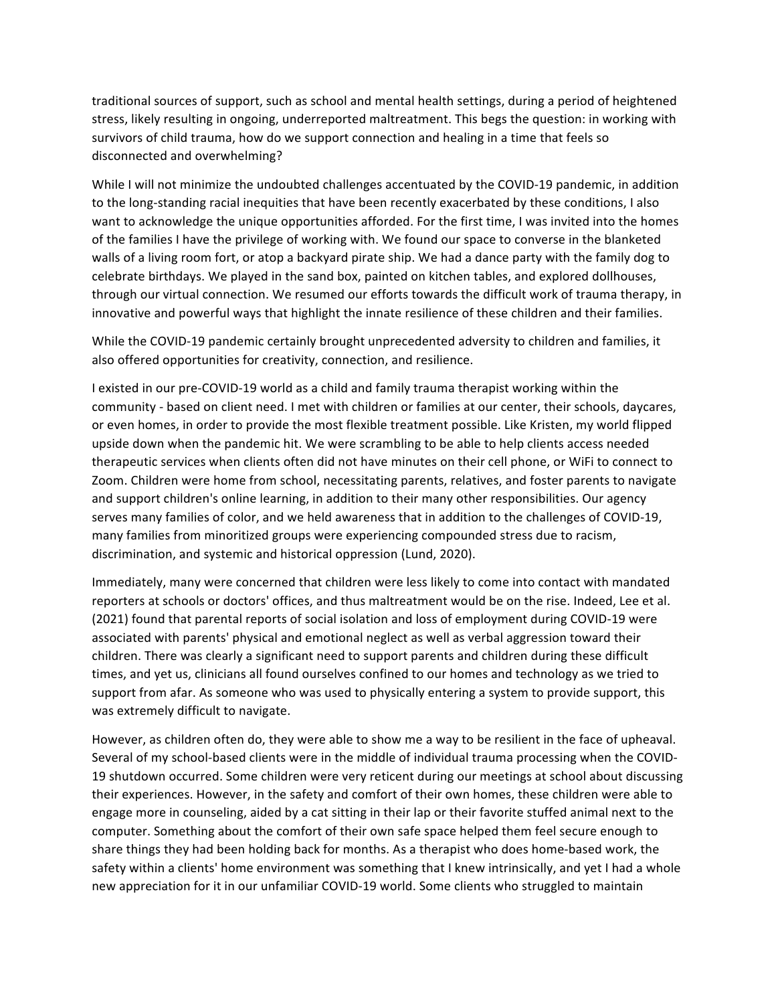traditional sources of support, such as school and mental health settings, during a period of heightened stress, likely resulting in ongoing, underreported maltreatment. This begs the question: in working with survivors of child trauma, how do we support connection and healing in a time that feels so disconnected and overwhelming?

While I will not minimize the undoubted challenges accentuated by the COVID-19 pandemic, in addition to the long-standing racial inequities that have been recently exacerbated by these conditions, I also want to acknowledge the unique opportunities afforded. For the first time, I was invited into the homes of the families I have the privilege of working with. We found our space to converse in the blanketed walls of a living room fort, or atop a backyard pirate ship. We had a dance party with the family dog to celebrate birthdays. We played in the sand box, painted on kitchen tables, and explored dollhouses, through our virtual connection. We resumed our efforts towards the difficult work of trauma therapy, in innovative and powerful ways that highlight the innate resilience of these children and their families.

While the COVID-19 pandemic certainly brought unprecedented adversity to children and families, it also offered opportunities for creativity, connection, and resilience.

I existed in our pre-COVID-19 world as a child and family trauma therapist working within the community - based on client need. I met with children or families at our center, their schools, daycares, or even homes, in order to provide the most flexible treatment possible. Like Kristen, my world flipped upside down when the pandemic hit. We were scrambling to be able to help clients access needed therapeutic services when clients often did not have minutes on their cell phone, or WiFi to connect to Zoom. Children were home from school, necessitating parents, relatives, and foster parents to navigate and support children's online learning, in addition to their many other responsibilities. Our agency serves many families of color, and we held awareness that in addition to the challenges of COVID-19, many families from minoritized groups were experiencing compounded stress due to racism, discrimination, and systemic and historical oppression (Lund, 2020).

Immediately, many were concerned that children were less likely to come into contact with mandated reporters at schools or doctors' offices, and thus maltreatment would be on the rise. Indeed, Lee et al. (2021) found that parental reports of social isolation and loss of employment during COVID-19 were associated with parents' physical and emotional neglect as well as verbal aggression toward their children. There was clearly a significant need to support parents and children during these difficult times, and yet us, clinicians all found ourselves confined to our homes and technology as we tried to support from afar. As someone who was used to physically entering a system to provide support, this was extremely difficult to navigate.

However, as children often do, they were able to show me a way to be resilient in the face of upheaval. Several of my school-based clients were in the middle of individual trauma processing when the COVID-19 shutdown occurred. Some children were very reticent during our meetings at school about discussing their experiences. However, in the safety and comfort of their own homes, these children were able to engage more in counseling, aided by a cat sitting in their lap or their favorite stuffed animal next to the computer. Something about the comfort of their own safe space helped them feel secure enough to share things they had been holding back for months. As a therapist who does home-based work, the safety within a clients' home environment was something that I knew intrinsically, and yet I had a whole new appreciation for it in our unfamiliar COVID-19 world. Some clients who struggled to maintain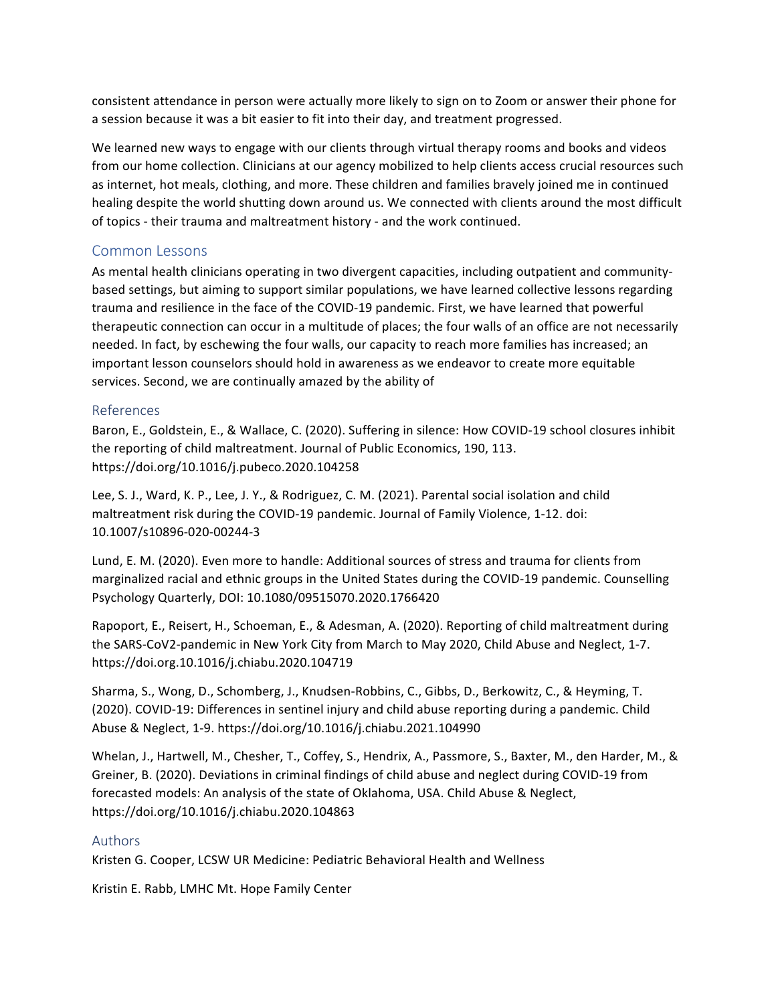consistent attendance in person were actually more likely to sign on to Zoom or answer their phone for a session because it was a bit easier to fit into their day, and treatment progressed.

We learned new ways to engage with our clients through virtual therapy rooms and books and videos from our home collection. Clinicians at our agency mobilized to help clients access crucial resources such as internet, hot meals, clothing, and more. These children and families bravely joined me in continued healing despite the world shutting down around us. We connected with clients around the most difficult of topics - their trauma and maltreatment history - and the work continued.

#### Common Lessons

As mental health clinicians operating in two divergent capacities, including outpatient and communitybased settings, but aiming to support similar populations, we have learned collective lessons regarding trauma and resilience in the face of the COVID-19 pandemic. First, we have learned that powerful therapeutic connection can occur in a multitude of places; the four walls of an office are not necessarily needed. In fact, by eschewing the four walls, our capacity to reach more families has increased; an important lesson counselors should hold in awareness as we endeavor to create more equitable services. Second, we are continually amazed by the ability of

#### References

Baron, E., Goldstein, E., & Wallace, C. (2020). Suffering in silence: How COVID-19 school closures inhibit the reporting of child maltreatment. Journal of Public Economics, 190, 113. https://doi.org/10.1016/j.pubeco.2020.104258

Lee, S. J., Ward, K. P., Lee, J. Y., & Rodriguez, C. M. (2021). Parental social isolation and child maltreatment risk during the COVID-19 pandemic. Journal of Family Violence, 1-12. doi: 10.1007/s10896-020-00244-3

Lund, E. M. (2020). Even more to handle: Additional sources of stress and trauma for clients from marginalized racial and ethnic groups in the United States during the COVID-19 pandemic. Counselling Psychology Quarterly, DOI: 10.1080/09515070.2020.1766420

Rapoport, E., Reisert, H., Schoeman, E., & Adesman, A. (2020). Reporting of child maltreatment during the SARS-CoV2-pandemic in New York City from March to May 2020, Child Abuse and Neglect, 1-7. https://doi.org.10.1016/j.chiabu.2020.104719

Sharma, S., Wong, D., Schomberg, J., Knudsen-Robbins, C., Gibbs, D., Berkowitz, C., & Heyming, T. (2020). COVID-19: Differences in sentinel injury and child abuse reporting during a pandemic. Child Abuse & Neglect, 1-9. https://doi.org/10.1016/j.chiabu.2021.104990

Whelan, J., Hartwell, M., Chesher, T., Coffey, S., Hendrix, A., Passmore, S., Baxter, M., den Harder, M., & Greiner, B. (2020). Deviations in criminal findings of child abuse and neglect during COVID-19 from forecasted models: An analysis of the state of Oklahoma, USA. Child Abuse & Neglect, https://doi.org/10.1016/j.chiabu.2020.104863

#### Authors

Kristen G. Cooper, LCSW UR Medicine: Pediatric Behavioral Health and Wellness

Kristin E. Rabb, LMHC Mt. Hope Family Center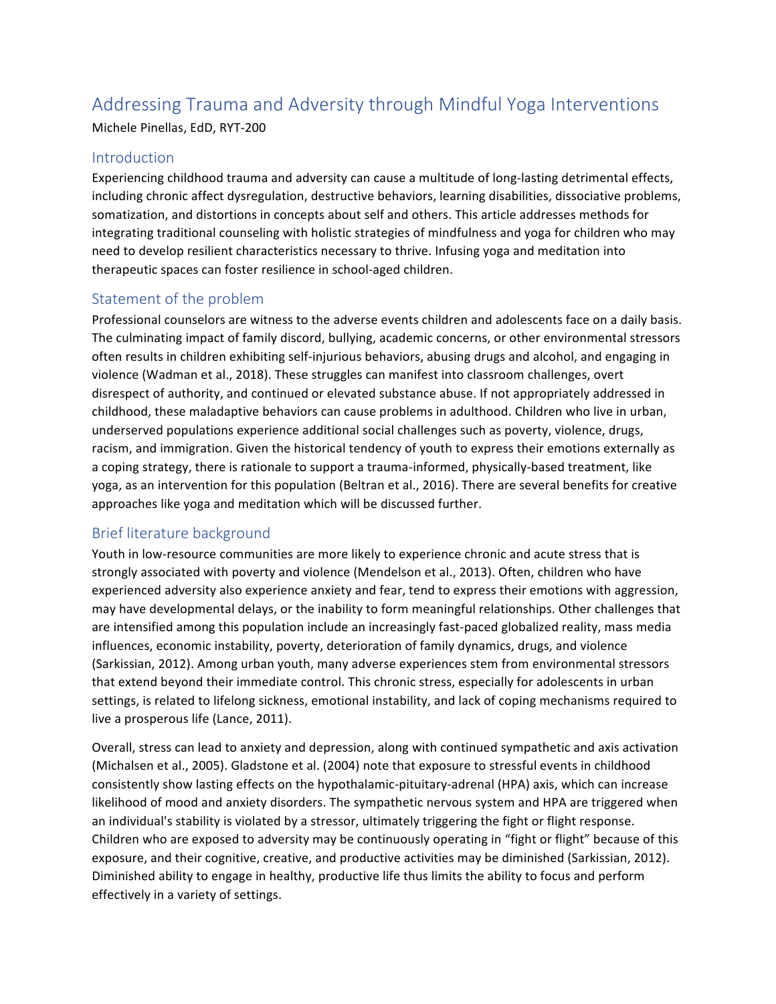## Addressing Trauma and Adversity through Mindful Yoga Interventions

Michele Pinellas, EdD, RYT-200

#### Introduction

Experiencing childhood trauma and adversity can cause a multitude of long-lasting detrimental effects, including chronic affect dysregulation, destructive behaviors, learning disabilities, dissociative problems, somatization, and distortions in concepts about self and others. This article addresses methods for integrating traditional counseling with holistic strategies of mindfulness and yoga for children who may need to develop resilient characteristics necessary to thrive. Infusing yoga and meditation into therapeutic spaces can foster resilience in school-aged children.

#### Statement of the problem

Professional counselors are witness to the adverse events children and adolescents face on a daily basis. The culminating impact of family discord, bullying, academic concerns, or other environmental stressors often results in children exhibiting self-injurious behaviors, abusing drugs and alcohol, and engaging in violence (Wadman et al., 2018). These struggles can manifest into classroom challenges, overt disrespect of authority, and continued or elevated substance abuse. If not appropriately addressed in childhood, these maladaptive behaviors can cause problems in adulthood. Children who live in urban, underserved populations experience additional social challenges such as poverty, violence, drugs, racism, and immigration. Given the historical tendency of youth to express their emotions externally as a coping strategy, there is rationale to support a trauma-informed, physically-based treatment, like yoga, as an intervention for this population (Beltran et al., 2016). There are several benefits for creative approaches like yoga and meditation which will be discussed further.

#### Brief literature background

Youth in low-resource communities are more likely to experience chronic and acute stress that is strongly associated with poverty and violence (Mendelson et al., 2013). Often, children who have experienced adversity also experience anxiety and fear, tend to express their emotions with aggression, may have developmental delays, or the inability to form meaningful relationships. Other challenges that are intensified among this population include an increasingly fast-paced globalized reality, mass media influences, economic instability, poverty, deterioration of family dynamics, drugs, and violence (Sarkissian, 2012). Among urban youth, many adverse experiences stem from environmental stressors that extend beyond their immediate control. This chronic stress, especially for adolescents in urban settings, is related to lifelong sickness, emotional instability, and lack of coping mechanisms required to live a prosperous life (Lance, 2011).

Overall, stress can lead to anxiety and depression, along with continued sympathetic and axis activation (Michalsen et al., 2005). Gladstone et al. (2004) note that exposure to stressful events in childhood consistently show lasting effects on the hypothalamic-pituitary-adrenal (HPA) axis, which can increase likelihood of mood and anxiety disorders. The sympathetic nervous system and HPA are triggered when an individual's stability is violated by a stressor, ultimately triggering the fight or flight response. Children who are exposed to adversity may be continuously operating in "fight or flight" because of this exposure, and their cognitive, creative, and productive activities may be diminished (Sarkissian, 2012). Diminished ability to engage in healthy, productive life thus limits the ability to focus and perform effectively in a variety of settings.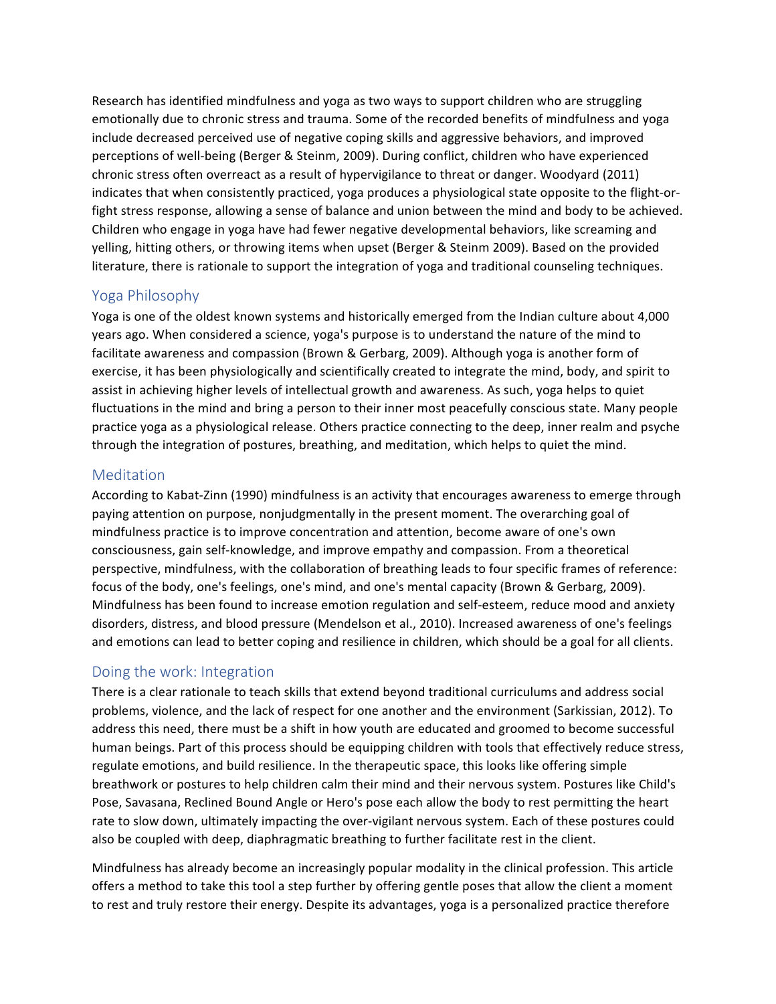Research has identified mindfulness and yoga as two ways to support children who are struggling emotionally due to chronic stress and trauma. Some of the recorded benefits of mindfulness and yoga include decreased perceived use of negative coping skills and aggressive behaviors, and improved perceptions of well-being (Berger & Steinm, 2009). During conflict, children who have experienced chronic stress often overreact as a result of hypervigilance to threat or danger. Woodyard (2011) indicates that when consistently practiced, yoga produces a physiological state opposite to the flight-orfight stress response, allowing a sense of balance and union between the mind and body to be achieved. Children who engage in yoga have had fewer negative developmental behaviors, like screaming and yelling, hitting others, or throwing items when upset (Berger & Steinm 2009). Based on the provided literature, there is rationale to support the integration of yoga and traditional counseling techniques.

#### Yoga Philosophy

Yoga is one of the oldest known systems and historically emerged from the Indian culture about 4,000 years ago. When considered a science, yoga's purpose is to understand the nature of the mind to facilitate awareness and compassion (Brown & Gerbarg, 2009). Although yoga is another form of exercise, it has been physiologically and scientifically created to integrate the mind, body, and spirit to assist in achieving higher levels of intellectual growth and awareness. As such, yoga helps to quiet fluctuations in the mind and bring a person to their inner most peacefully conscious state. Many people practice yoga as a physiological release. Others practice connecting to the deep, inner realm and psyche through the integration of postures, breathing, and meditation, which helps to quiet the mind.

#### Meditation

According to Kabat-Zinn (1990) mindfulness is an activity that encourages awareness to emerge through paying attention on purpose, nonjudgmentally in the present moment. The overarching goal of mindfulness practice is to improve concentration and attention, become aware of one's own consciousness, gain self-knowledge, and improve empathy and compassion. From a theoretical perspective, mindfulness, with the collaboration of breathing leads to four specific frames of reference: focus of the body, one's feelings, one's mind, and one's mental capacity (Brown & Gerbarg, 2009). Mindfulness has been found to increase emotion regulation and self-esteem, reduce mood and anxiety disorders, distress, and blood pressure (Mendelson et al., 2010). Increased awareness of one's feelings and emotions can lead to better coping and resilience in children, which should be a goal for all clients.

#### Doing the work: Integration

There is a clear rationale to teach skills that extend beyond traditional curriculums and address social problems, violence, and the lack of respect for one another and the environment (Sarkissian, 2012). To address this need, there must be a shift in how youth are educated and groomed to become successful human beings. Part of this process should be equipping children with tools that effectively reduce stress, regulate emotions, and build resilience. In the therapeutic space, this looks like offering simple breathwork or postures to help children calm their mind and their nervous system. Postures like Child's Pose, Savasana, Reclined Bound Angle or Hero's pose each allow the body to rest permitting the heart rate to slow down, ultimately impacting the over-vigilant nervous system. Each of these postures could also be coupled with deep, diaphragmatic breathing to further facilitate rest in the client.

Mindfulness has already become an increasingly popular modality in the clinical profession. This article offers a method to take this tool a step further by offering gentle poses that allow the client a moment to rest and truly restore their energy. Despite its advantages, yoga is a personalized practice therefore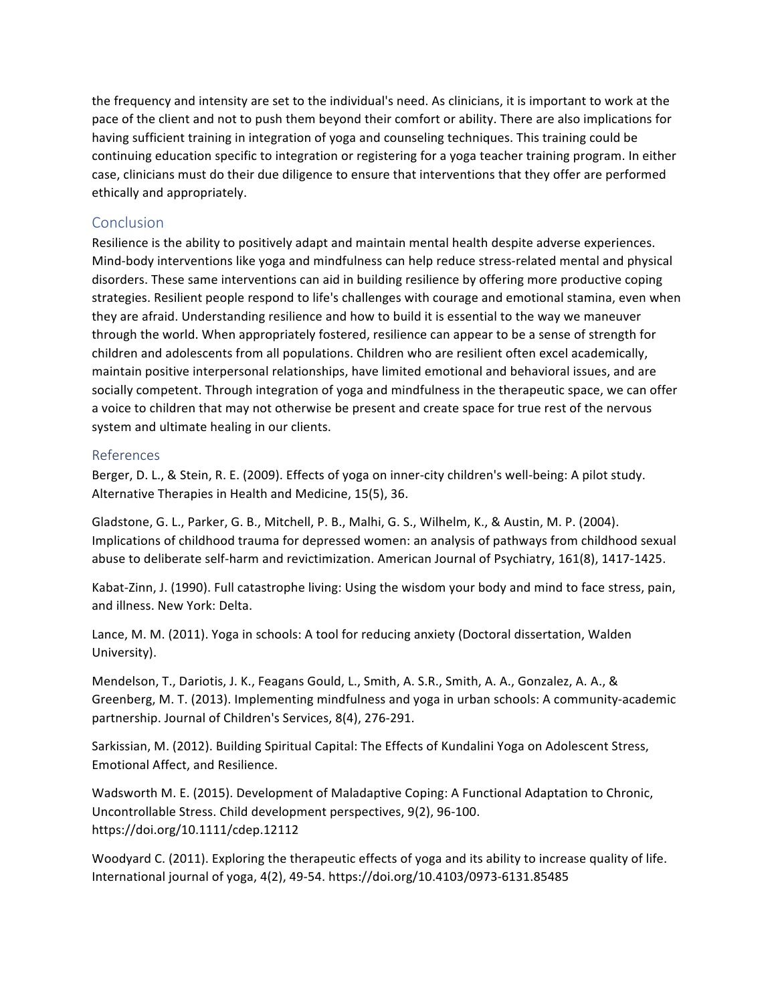the frequency and intensity are set to the individual's need. As clinicians, it is important to work at the pace of the client and not to push them beyond their comfort or ability. There are also implications for having sufficient training in integration of yoga and counseling techniques. This training could be continuing education specific to integration or registering for a yoga teacher training program. In either case, clinicians must do their due diligence to ensure that interventions that they offer are performed ethically and appropriately.

#### **Conclusion**

Resilience is the ability to positively adapt and maintain mental health despite adverse experiences. Mind-body interventions like yoga and mindfulness can help reduce stress-related mental and physical disorders. These same interventions can aid in building resilience by offering more productive coping strategies. Resilient people respond to life's challenges with courage and emotional stamina, even when they are afraid. Understanding resilience and how to build it is essential to the way we maneuver through the world. When appropriately fostered, resilience can appear to be a sense of strength for children and adolescents from all populations. Children who are resilient often excel academically, maintain positive interpersonal relationships, have limited emotional and behavioral issues, and are socially competent. Through integration of yoga and mindfulness in the therapeutic space, we can offer a voice to children that may not otherwise be present and create space for true rest of the nervous system and ultimate healing in our clients.

#### References

Berger, D. L., & Stein, R. E. (2009). Effects of yoga on inner-city children's well-being: A pilot study. Alternative Therapies in Health and Medicine, 15(5), 36.

Gladstone, G. L., Parker, G. B., Mitchell, P. B., Malhi, G. S., Wilhelm, K., & Austin, M. P. (2004). Implications of childhood trauma for depressed women: an analysis of pathways from childhood sexual abuse to deliberate self-harm and revictimization. American Journal of Psychiatry, 161(8), 1417-1425.

Kabat-Zinn, J. (1990). Full catastrophe living: Using the wisdom your body and mind to face stress, pain, and illness. New York: Delta.

Lance, M. M. (2011). Yoga in schools: A tool for reducing anxiety (Doctoral dissertation, Walden University).

Mendelson, T., Dariotis, J. K., Feagans Gould, L., Smith, A. S.R., Smith, A. A., Gonzalez, A. A., & Greenberg, M. T. (2013). Implementing mindfulness and yoga in urban schools: A community-academic partnership. Journal of Children's Services, 8(4), 276-291.

Sarkissian, M. (2012). Building Spiritual Capital: The Effects of Kundalini Yoga on Adolescent Stress, Emotional Affect, and Resilience.

Wadsworth M. E. (2015). Development of Maladaptive Coping: A Functional Adaptation to Chronic, Uncontrollable Stress. Child development perspectives, 9(2), 96-100. https://doi.org/10.1111/cdep.12112

Woodyard C. (2011). Exploring the therapeutic effects of yoga and its ability to increase quality of life. International journal of yoga, 4(2), 49-54. https://doi.org/10.4103/0973-6131.85485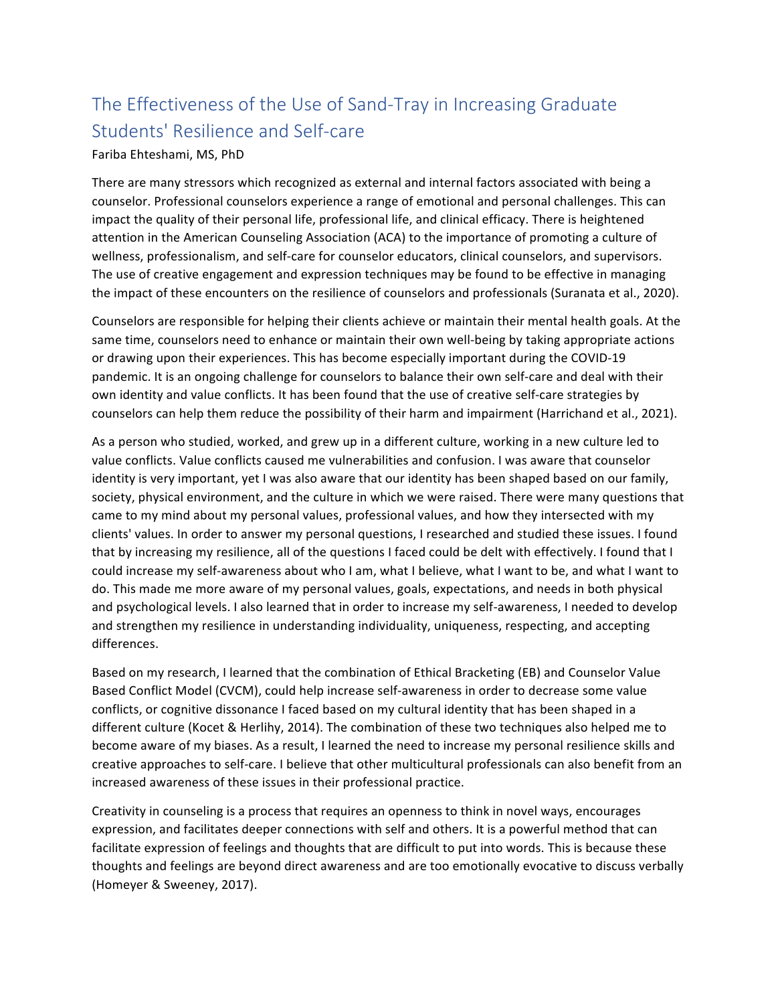## The Effectiveness of the Use of Sand-Tray in Increasing Graduate Students' Resilience and Self-care

#### Fariba Ehteshami, MS, PhD

There are many stressors which recognized as external and internal factors associated with being a counselor. Professional counselors experience a range of emotional and personal challenges. This can impact the quality of their personal life, professional life, and clinical efficacy. There is heightened attention in the American Counseling Association (ACA) to the importance of promoting a culture of wellness, professionalism, and self-care for counselor educators, clinical counselors, and supervisors. The use of creative engagement and expression techniques may be found to be effective in managing the impact of these encounters on the resilience of counselors and professionals (Suranata et al., 2020).

Counselors are responsible for helping their clients achieve or maintain their mental health goals. At the same time, counselors need to enhance or maintain their own well-being by taking appropriate actions or drawing upon their experiences. This has become especially important during the COVID-19 pandemic. It is an ongoing challenge for counselors to balance their own self-care and deal with their own identity and value conflicts. It has been found that the use of creative self-care strategies by counselors can help them reduce the possibility of their harm and impairment (Harrichand et al., 2021).

As a person who studied, worked, and grew up in a different culture, working in a new culture led to value conflicts. Value conflicts caused me vulnerabilities and confusion. I was aware that counselor identity is very important, yet I was also aware that our identity has been shaped based on our family, society, physical environment, and the culture in which we were raised. There were many questions that came to my mind about my personal values, professional values, and how they intersected with my clients' values. In order to answer my personal questions, I researched and studied these issues. I found that by increasing my resilience, all of the questions I faced could be delt with effectively. I found that I could increase my self-awareness about who I am, what I believe, what I want to be, and what I want to do. This made me more aware of my personal values, goals, expectations, and needs in both physical and psychological levels. I also learned that in order to increase my self-awareness, I needed to develop and strengthen my resilience in understanding individuality, uniqueness, respecting, and accepting differences.

Based on my research, I learned that the combination of Ethical Bracketing (EB) and Counselor Value Based Conflict Model (CVCM), could help increase self-awareness in order to decrease some value conflicts, or cognitive dissonance I faced based on my cultural identity that has been shaped in a different culture (Kocet & Herlihy, 2014). The combination of these two techniques also helped me to become aware of my biases. As a result, I learned the need to increase my personal resilience skills and creative approaches to self-care. I believe that other multicultural professionals can also benefit from an increased awareness of these issues in their professional practice.

Creativity in counseling is a process that requires an openness to think in novel ways, encourages expression, and facilitates deeper connections with self and others. It is a powerful method that can facilitate expression of feelings and thoughts that are difficult to put into words. This is because these thoughts and feelings are beyond direct awareness and are too emotionally evocative to discuss verbally (Homeyer & Sweeney, 2017).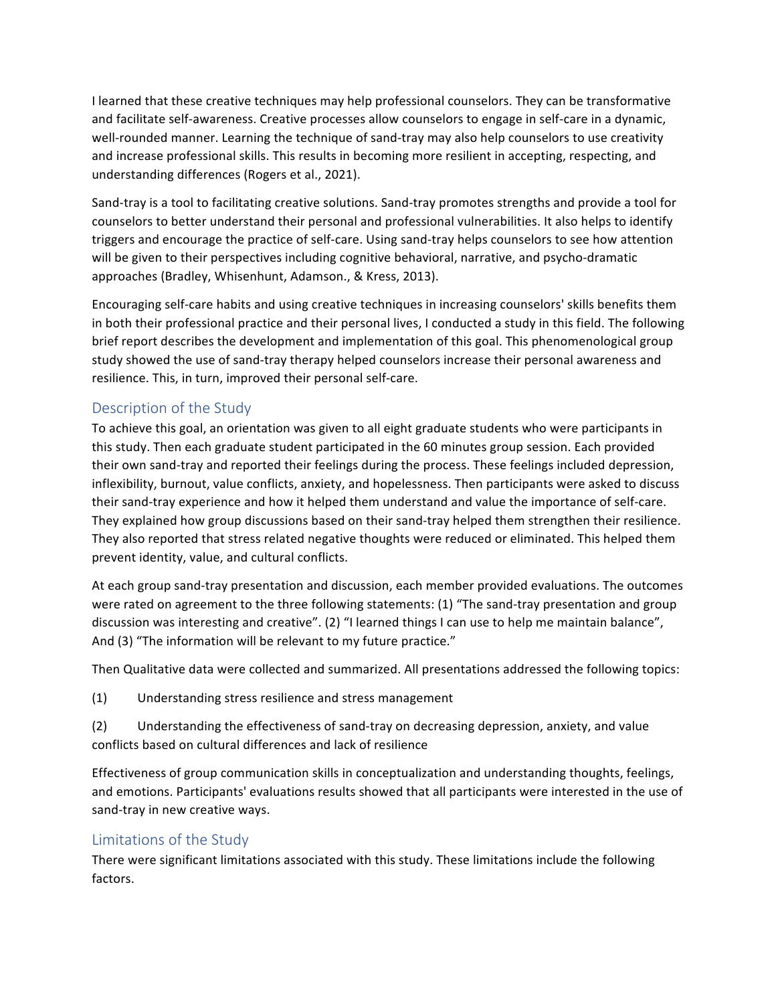I learned that these creative techniques may help professional counselors. They can be transformative and facilitate self-awareness. Creative processes allow counselors to engage in self-care in a dynamic, well-rounded manner. Learning the technique of sand-tray may also help counselors to use creativity and increase professional skills. This results in becoming more resilient in accepting, respecting, and understanding differences (Rogers et al., 2021).

Sand-tray is a tool to facilitating creative solutions. Sand-tray promotes strengths and provide a tool for counselors to better understand their personal and professional vulnerabilities. It also helps to identify triggers and encourage the practice of self-care. Using sand-tray helps counselors to see how attention will be given to their perspectives including cognitive behavioral, narrative, and psycho-dramatic approaches (Bradley, Whisenhunt, Adamson., & Kress, 2013).

Encouraging self-care habits and using creative techniques in increasing counselors' skills benefits them in both their professional practice and their personal lives, I conducted a study in this field. The following brief report describes the development and implementation of this goal. This phenomenological group study showed the use of sand-tray therapy helped counselors increase their personal awareness and resilience. This, in turn, improved their personal self-care.

#### Description of the Study

To achieve this goal, an orientation was given to all eight graduate students who were participants in this study. Then each graduate student participated in the 60 minutes group session. Each provided their own sand-tray and reported their feelings during the process. These feelings included depression, inflexibility, burnout, value conflicts, anxiety, and hopelessness. Then participants were asked to discuss their sand-tray experience and how it helped them understand and value the importance of self-care. They explained how group discussions based on their sand-tray helped them strengthen their resilience. They also reported that stress related negative thoughts were reduced or eliminated. This helped them prevent identity, value, and cultural conflicts.

At each group sand-tray presentation and discussion, each member provided evaluations. The outcomes were rated on agreement to the three following statements:  $(1)$  "The sand-tray presentation and group discussion was interesting and creative". (2) "I learned things I can use to help me maintain balance", And (3) "The information will be relevant to my future practice."

Then Qualitative data were collected and summarized. All presentations addressed the following topics:

(1) Understanding stress resilience and stress management

(2) Understanding the effectiveness of sand-tray on decreasing depression, anxiety, and value conflicts based on cultural differences and lack of resilience

Effectiveness of group communication skills in conceptualization and understanding thoughts, feelings, and emotions. Participants' evaluations results showed that all participants were interested in the use of sand-tray in new creative ways.

#### Limitations of the Study

There were significant limitations associated with this study. These limitations include the following factors.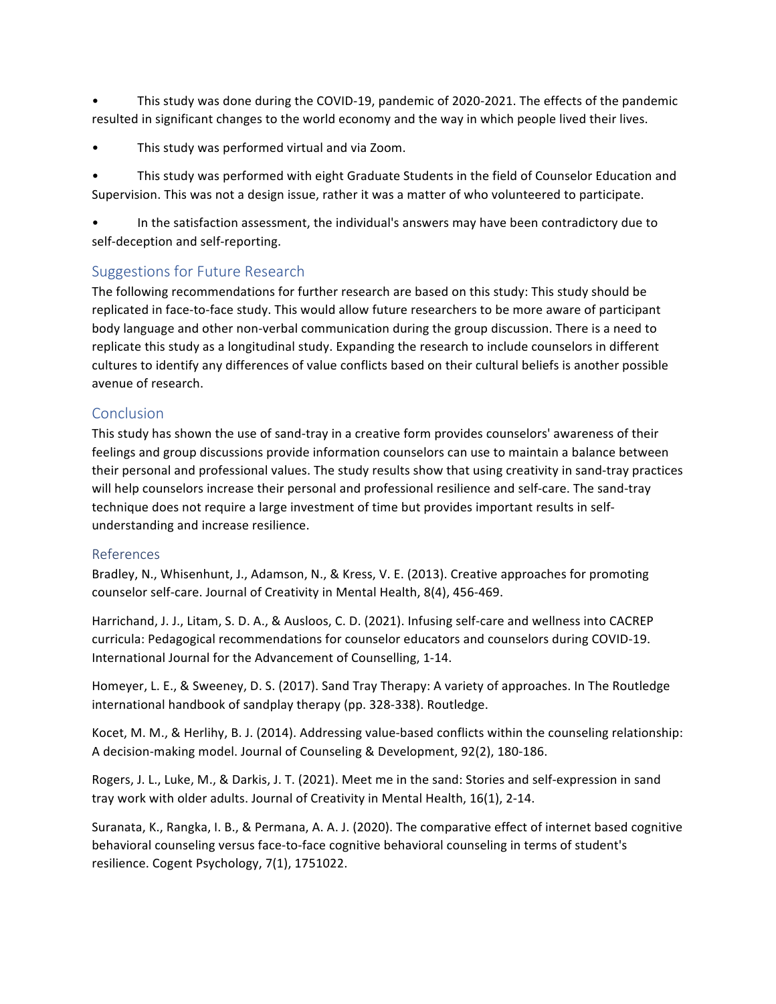This study was done during the COVID-19, pandemic of 2020-2021. The effects of the pandemic resulted in significant changes to the world economy and the way in which people lived their lives.

This study was performed virtual and via Zoom.

This study was performed with eight Graduate Students in the field of Counselor Education and Supervision. This was not a design issue, rather it was a matter of who volunteered to participate.

In the satisfaction assessment, the individual's answers may have been contradictory due to self-deception and self-reporting.

#### Suggestions for Future Research

The following recommendations for further research are based on this study: This study should be replicated in face-to-face study. This would allow future researchers to be more aware of participant body language and other non-verbal communication during the group discussion. There is a need to replicate this study as a longitudinal study. Expanding the research to include counselors in different cultures to identify any differences of value conflicts based on their cultural beliefs is another possible avenue of research.

#### **Conclusion**

This study has shown the use of sand-tray in a creative form provides counselors' awareness of their feelings and group discussions provide information counselors can use to maintain a balance between their personal and professional values. The study results show that using creativity in sand-tray practices will help counselors increase their personal and professional resilience and self-care. The sand-tray technique does not require a large investment of time but provides important results in selfunderstanding and increase resilience.

#### References

Bradley, N., Whisenhunt, J., Adamson, N., & Kress, V. E. (2013). Creative approaches for promoting counselor self-care. Journal of Creativity in Mental Health, 8(4), 456-469.

Harrichand, J. J., Litam, S. D. A., & Ausloos, C. D. (2021). Infusing self-care and wellness into CACREP curricula: Pedagogical recommendations for counselor educators and counselors during COVID-19. International Journal for the Advancement of Counselling, 1-14.

Homeyer, L. E., & Sweeney, D. S. (2017). Sand Tray Therapy: A variety of approaches. In The Routledge international handbook of sandplay therapy (pp. 328-338). Routledge.

Kocet, M. M., & Herlihy, B. J. (2014). Addressing value-based conflicts within the counseling relationship: A decision-making model. Journal of Counseling & Development, 92(2), 180-186.

Rogers, J. L., Luke, M., & Darkis, J. T. (2021). Meet me in the sand: Stories and self-expression in sand tray work with older adults. Journal of Creativity in Mental Health, 16(1), 2-14.

Suranata, K., Rangka, I. B., & Permana, A. A. J. (2020). The comparative effect of internet based cognitive behavioral counseling versus face-to-face cognitive behavioral counseling in terms of student's resilience. Cogent Psychology, 7(1), 1751022.